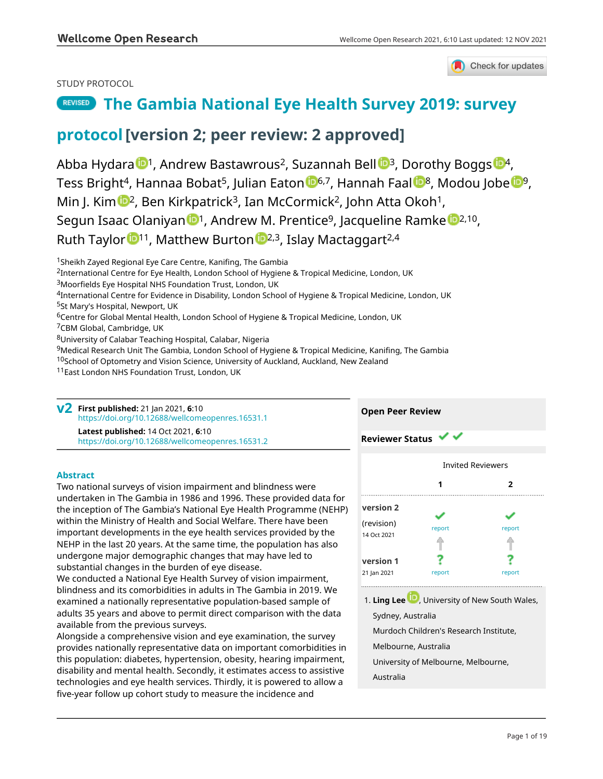

## STUDY PROTOCOL

# **[The Gambia National Eye Health Survey 2019: survey](https://wellcomeopenresearch.org/articles/6-10/v2)**

# **[protocol](https://wellcomeopenresearch.org/articles/6-10/v2)[version 2; peer review: 2 approved]**

Abba Hydara <sup>1</sup>, Andrew Bastawrous<sup>2</sup>, Suzannah Be[l](https://orcid.org/0000-0002-3328-3698)l <sup>1,</sup> Dorothy Boggs <sup>1,</sup> Tess Bright<sup>4</sup>, Ha[n](https://orcid.org/0000-0003-2697-4965)naa Bobat<sup>5</sup>, Julian Eaton **6,7**, Hannah Faal 8, Modou Jobe <sup>199</sup>, Min J. Kim  $\mathbb{D}^2$  $\mathbb{D}^2$ , Ben Kirkpatrick<sup>3</sup>, Ian McCormick<sup>2</sup>, John Atta Okoh<sup>1</sup>, Segu[n](https://orcid.org/0000-0002-2006-6897) Isaac Olaniyan <sup>1</sup>, Andr[e](https://orcid.org/0000-0002-5764-1306)w M. Prentice<sup>9</sup>, Jacqueline Ramke <sup>1, 2, 10</sup>, Ruth Taylor  $11$ , Matthew Burton  $12,3$  $12,3$  $12,3$ , Islay Mactaggart<sup>2,4</sup>

<sup>1</sup> Sheikh Zayed Regional Eye Care Centre, Kanifing, The Gambia

<sup>2</sup>International Centre for Eye Health, London School of Hygiene & Tropical Medicine, London, UK

<sup>4</sup>International Centre for Evidence in Disability, London School of Hygiene & Tropical Medicine, London, UK

<sup>5</sup>St Mary's Hospital, Newport, UK

<sup>6</sup>Centre for Global Mental Health, London School of Hygiene & Tropical Medicine, London, UK

<sup>7</sup>CBM Global, Cambridge, UK

<sup>8</sup>University of Calabar Teaching Hospital, Calabar, Nigeria

<sup>9</sup>Medical Research Unit The Gambia, London School of Hygiene & Tropical Medicine, Kanifing, The Gambia

<sup>10</sup>School of Optometry and Vision Science, University of Auckland, Auckland, New Zealand

<sup>11</sup>East London NHS Foundation Trust, London, UK

**First published:** 21 Jan 2021, **6**:10 **v2** <https://doi.org/10.12688/wellcomeopenres.16531.1> **Latest published:** 14 Oct 2021, **6**:10

<https://doi.org/10.12688/wellcomeopenres.16531.2>

### **Abstract**

Two national surveys of vision impairment and blindness were undertaken in The Gambia in 1986 and 1996. These provided data for the inception of The Gambia's National Eye Health Programme (NEHP) within the Ministry of Health and Social Welfare. There have been important developments in the eye health services provided by the NEHP in the last 20 years. At the same time, the population has also undergone major demographic changes that may have led to substantial changes in the burden of eye disease.

We conducted a National Eye Health Survey of vision impairment, blindness and its comorbidities in adults in The Gambia in 2019. We examined a nationally representative population-based sample of adults 35 years and above to permit direct comparison with the data available from the previous surveys.

Alongside a comprehensive vision and eye examination, the survey provides nationally representative data on important comorbidities in this population: diabetes, hypertension, obesity, hearing impairment, disability and mental health. Secondly, it estimates access to assistive technologies and eye health services. Thirdly, it is powered to allow a five-year follow up cohort study to measure the incidence and



1. Ling Lee **UV**[,](https://orcid.org/0000-0003-0908-7280) University of New South Wales,

Sydney, Australia

**Open Peer Review**

Murdoch Children's Research Institute,

Melbourne, Australia

University of Melbourne, Melbourne,

Australia

<sup>3</sup>Moorfields Eye Hospital NHS Foundation Trust, London, UK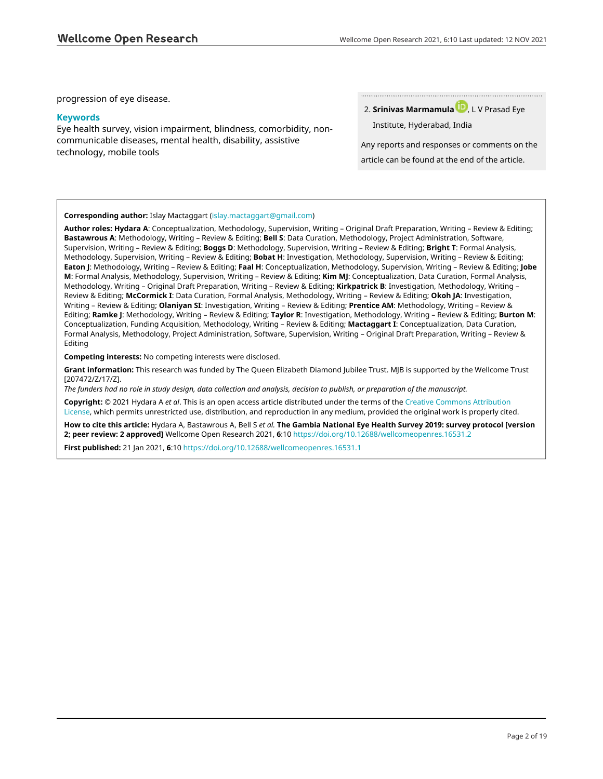progression of eye disease.

#### **Keywords**

Eye health survey, vision impairment, blindness, comorbidity, noncommunicable diseases, mental health, disability, assistive technology, mobile tools

**Srinivas Marmamul[a](https://orcid.org/0000-0003-1716-9809)** , L V Prasad Eye 2.

Institute, Hyderabad, India

Any reports and responses or comments on the article can be found at the end of the article.

#### **Corresponding author:** Islay Mactaggart [\(islay.mactaggart@gmail.com](mailto:islay.mactaggart@gmail.com))

**Author roles: Hydara A**: Conceptualization, Methodology, Supervision, Writing – Original Draft Preparation, Writing – Review & Editing; **Bastawrous A**: Methodology, Writing – Review & Editing; **Bell S**: Data Curation, Methodology, Project Administration, Software, Supervision, Writing – Review & Editing; **Boggs D**: Methodology, Supervision, Writing – Review & Editing; **Bright T**: Formal Analysis, Methodology, Supervision, Writing – Review & Editing; **Bobat H**: Investigation, Methodology, Supervision, Writing – Review & Editing; **Eaton J**: Methodology, Writing – Review & Editing; **Faal H**: Conceptualization, Methodology, Supervision, Writing – Review & Editing; **Jobe M**: Formal Analysis, Methodology, Supervision, Writing – Review & Editing; **Kim MJ**: Conceptualization, Data Curation, Formal Analysis, Methodology, Writing – Original Draft Preparation, Writing – Review & Editing; **Kirkpatrick B**: Investigation, Methodology, Writing – Review & Editing; **McCormick I**: Data Curation, Formal Analysis, Methodology, Writing – Review & Editing; **Okoh JA**: Investigation, Writing – Review & Editing; **Olaniyan SI**: Investigation, Writing – Review & Editing; **Prentice AM**: Methodology, Writing – Review & Editing; **Ramke J**: Methodology, Writing – Review & Editing; **Taylor R**: Investigation, Methodology, Writing – Review & Editing; **Burton M**: Conceptualization, Funding Acquisition, Methodology, Writing – Review & Editing; **Mactaggart I**: Conceptualization, Data Curation, Formal Analysis, Methodology, Project Administration, Software, Supervision, Writing – Original Draft Preparation, Writing – Review & Editing

**Competing interests:** No competing interests were disclosed.

**Grant information:** This research was funded by The Queen Elizabeth Diamond Jubilee Trust. MJB is supported by the Wellcome Trust [207472/Z/17/Z].

*The funders had no role in study design, data collection and analysis, decision to publish, or preparation of the manuscript.*

**Copyright:** © 2021 Hydara A *et al*. This is an open access article distributed under the terms of the [Creative Commons Attribution](http://creativecommons.org/licenses/by/4.0/) [License](http://creativecommons.org/licenses/by/4.0/), which permits unrestricted use, distribution, and reproduction in any medium, provided the original work is properly cited.

**How to cite this article:** Hydara A, Bastawrous A, Bell S *et al.* **The Gambia National Eye Health Survey 2019: survey protocol [version 2; peer review: 2 approved]** Wellcome Open Research 2021, **6**:10 <https://doi.org/10.12688/wellcomeopenres.16531.2>

**First published:** 21 Jan 2021, **6**:10<https://doi.org/10.12688/wellcomeopenres.16531.1>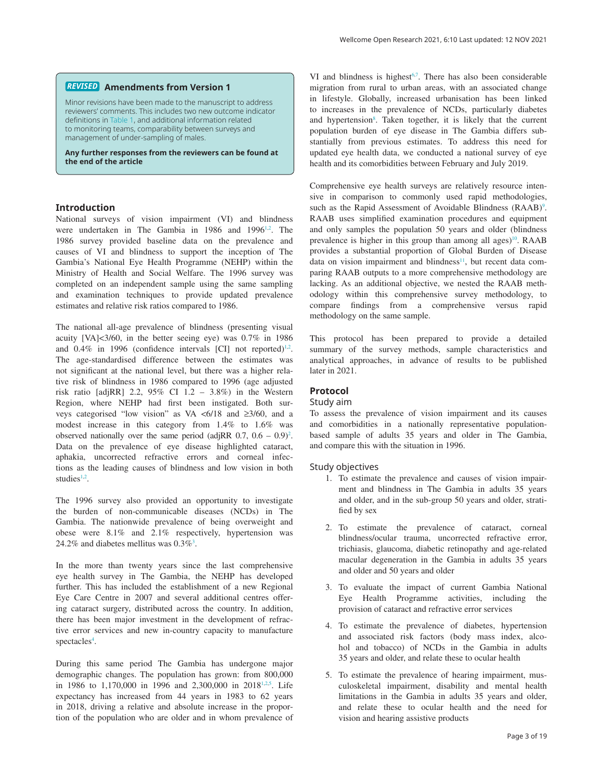#### **Amendments from Version 1** *REVISED*

Minor revisions have been made to the manuscript to address reviewers' comments. This includes two new outcome indicator definitions in [Table 1,](#page-5-0) and additional information related to monitoring teams, comparability between surveys and management of under-sampling of males.

**Any further responses from the reviewers can be found at the end of the article**

#### **Introduction**

National surveys of vision impairment (VI) and blindness were undertaken in The Gambia in 1986 and 1996<sup>[1,2](#page-11-0)</sup>. The 1986 survey provided baseline data on the prevalence and causes of VI and blindness to support the inception of The Gambia's National Eye Health Programme (NEHP) within the Ministry of Health and Social Welfare. The 1996 survey was completed on an independent sample using the same sampling and examination techniques to provide updated prevalence estimates and relative risk ratios compared to 1986.

The national all-age prevalence of blindness (presenting visual acuity [VA]<3/60, in the better seeing eye) was 0.7% in 1986 and  $0.4\%$  in 1996 (confidence intervals [CI] not reported)<sup>[1,2](#page-11-0)</sup>. The age-standardised difference between the estimates was not significant at the national level, but there was a higher relative risk of blindness in 1986 compared to 1996 (age adjusted risk ratio [adjRR] 2.2,  $95\%$  CI 1.2 – 3.8%) in the Western Region, where NEHP had first been instigated. Both surveys categorised "low vision" as VA <6/18 and ≥3/60, and a modest increase in this category from 1.4% to 1.6% was observed nationally over the same period (adjRR  $0.7$ ,  $0.6 - 0.9$ )<sup>[2](#page-11-0)</sup>. Data on the prevalence of eye disease highlighted cataract, aphakia, uncorrected refractive errors and corneal infections as the leading causes of blindness and low vision in both studies $1,2$ .

The 1996 survey also provided an opportunity to investigate the burden of non-communicable diseases (NCDs) in The Gambia. The nationwide prevalence of being overweight and obese were 8.1% and 2.1% respectively, hypertension was 24.2% and diabetes mellitus was  $0.3\%$ <sup>3</sup>.

In the more than twenty years since the last comprehensive eye health survey in The Gambia, the NEHP has developed further. This has included the establishment of a new Regional Eye Care Centre in 2007 and several additional centres offering cataract surgery, distributed across the country. In addition, there has been major investment in the development of refractive error services and new in-country capacity to manufacture spectacles<sup>4</sup>.

During this same period The Gambia has undergone major demographic changes. The population has grown: from 800,000 in 1986 to 1,170,000 in 1996 and 2,300,000 in 2018<sup>1,2,5</sup>. Life expectancy has increased from 44 years in 1983 to 62 years in 2018, driving a relative and absolute increase in the proportion of the population who are older and in whom prevalence of

VI and blindness is highest $6,7$ . There has also been considerable migration from rural to urban areas, with an associated change in lifestyle. Globally, increased urbanisation has been linked to increases in the prevalence of NCDs, particularly diabetes and hypertension<sup>[8](#page-11-0)</sup>. Taken together, it is likely that the current population burden of eye disease in The Gambia differs substantially from previous estimates. To address this need for updated eye health data, we conducted a national survey of eye health and its comorbidities between February and July 2019.

Comprehensive eye health surveys are relatively resource intensive in comparison to commonly used rapid methodologies, such as the Rapid Assessment of Avoidable Blindness (RAAB)<sup>[9](#page-11-0)</sup>. RAAB uses simplified examination procedures and equipment and only samples the population 50 years and older (blindness prevalence is higher in this group than among all ages)<sup>[10](#page-11-0)</sup>. RAAB provides a substantial proportion of Global Burden of Disease data on vision impairment and blindness $11$ , but recent data comparing RAAB outputs to a more comprehensive methodology are lacking. As an additional objective, we nested the RAAB methodology within this comprehensive survey methodology, to compare findings from a comprehensive versus rapid methodology on the same sample.

This protocol has been prepared to provide a detailed summary of the survey methods, sample characteristics and analytical approaches, in advance of results to be published later in 2021.

### **Protocol**

#### Study aim

To assess the prevalence of vision impairment and its causes and comorbidities in a nationally representative populationbased sample of adults 35 years and older in The Gambia, and compare this with the situation in 1996.

#### Study objectives

- 1. To estimate the prevalence and causes of vision impairment and blindness in The Gambia in adults 35 years and older, and in the sub-group 50 years and older, stratified by sex
- 2. To estimate the prevalence of cataract, corneal blindness/ocular trauma, uncorrected refractive error, trichiasis, glaucoma, diabetic retinopathy and age-related macular degeneration in the Gambia in adults 35 years and older and 50 years and older
- 3. To evaluate the impact of current Gambia National Eye Health Programme activities, including the provision of cataract and refractive error services
- 4. To estimate the prevalence of diabetes, hypertension and associated risk factors (body mass index, alcohol and tobacco) of NCDs in the Gambia in adults 35 years and older, and relate these to ocular health
- 5. To estimate the prevalence of hearing impairment, musculoskeletal impairment, disability and mental health limitations in the Gambia in adults 35 years and older, and relate these to ocular health and the need for vision and hearing assistive products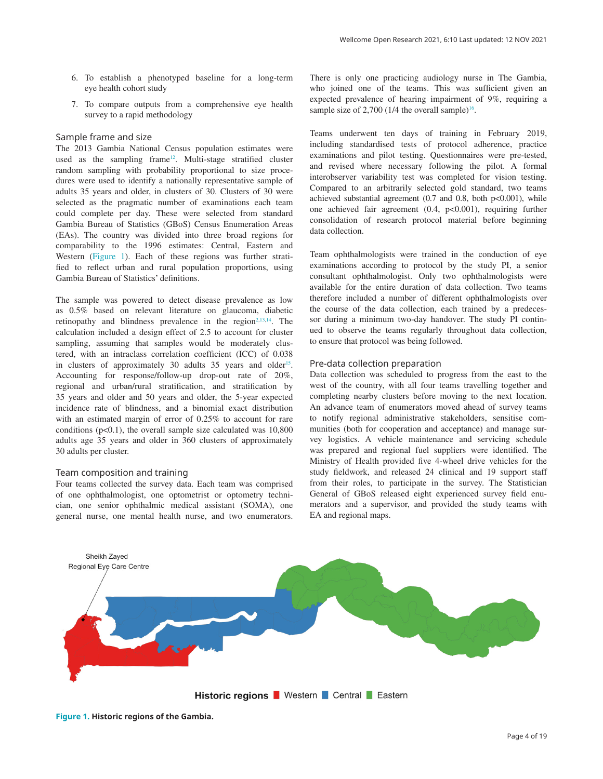- 6. To establish a phenotyped baseline for a long-term eye health cohort study
- 7. To compare outputs from a comprehensive eye health survey to a rapid methodology

#### Sample frame and size

The 2013 Gambia National Census population estimates were used as the sampling frame<sup>[12](#page-11-0)</sup>. Multi-stage stratified cluster random sampling with probability proportional to size procedures were used to identify a nationally representative sample of adults 35 years and older, in clusters of 30. Clusters of 30 were selected as the pragmatic number of examinations each team could complete per day. These were selected from standard Gambia Bureau of Statistics (GBoS) Census Enumeration Areas (EAs). The country was divided into three broad regions for comparability to the 1996 estimates: Central, Eastern and Western (Figure 1). Each of these regions was further stratified to reflect urban and rural population proportions, using Gambia Bureau of Statistics' definitions.

The sample was powered to detect disease prevalence as low as 0.5% based on relevant literature on glaucoma, diabetic retinopathy and blindness prevalence in the region $2,13,14$  $2,13,14$ . The calculation included a design effect of 2.5 to account for cluster sampling, assuming that samples would be moderately clustered, with an intraclass correlation coefficient (ICC) of 0.038 in clusters of approximately 30 adults  $35$  years and older<sup>15</sup>. Accounting for response/follow-up drop-out rate of 20%, regional and urban/rural stratification, and stratification by 35 years and older and 50 years and older, the 5-year expected incidence rate of blindness, and a binomial exact distribution with an estimated margin of error of 0.25% to account for rare conditions  $(p<0.1)$ , the overall sample size calculated was  $10,800$ adults age 35 years and older in 360 clusters of approximately 30 adults per cluster.

#### Team composition and training

Four teams collected the survey data. Each team was comprised of one ophthalmologist, one optometrist or optometry technician, one senior ophthalmic medical assistant (SOMA), one general nurse, one mental health nurse, and two enumerators.

There is only one practicing audiology nurse in The Gambia, who joined one of the teams. This was sufficient given an expected prevalence of hearing impairment of 9%, requiring a sample size of  $2,700$  (1/4 the overall sample)<sup>16</sup>.

Teams underwent ten days of training in February 2019, including standardised tests of protocol adherence, practice examinations and pilot testing. Questionnaires were pre-tested, and revised where necessary following the pilot. A formal interobserver variability test was completed for vision testing. Compared to an arbitrarily selected gold standard, two teams achieved substantial agreement  $(0.7 \text{ and } 0.8, \text{ both } p<0.001)$ , while one achieved fair agreement (0.4, p<0.001), requiring further consolidation of research protocol material before beginning data collection.

Team ophthalmologists were trained in the conduction of eye examinations according to protocol by the study PI, a senior consultant ophthalmologist. Only two ophthalmologists were available for the entire duration of data collection. Two teams therefore included a number of different ophthalmologists over the course of the data collection, each trained by a predecessor during a minimum two-day handover. The study PI continued to observe the teams regularly throughout data collection, to ensure that protocol was being followed.

#### Pre-data collection preparation

Data collection was scheduled to progress from the east to the west of the country, with all four teams travelling together and completing nearby clusters before moving to the next location. An advance team of enumerators moved ahead of survey teams to notify regional administrative stakeholders, sensitise communities (both for cooperation and acceptance) and manage survey logistics. A vehicle maintenance and servicing schedule was prepared and regional fuel suppliers were identified. The Ministry of Health provided five 4-wheel drive vehicles for the study fieldwork, and released 24 clinical and 19 support staff from their roles, to participate in the survey. The Statistician General of GBoS released eight experienced survey field enumerators and a supervisor, and provided the study teams with EA and regional maps.



**Figure 1. Historic regions of the Gambia.**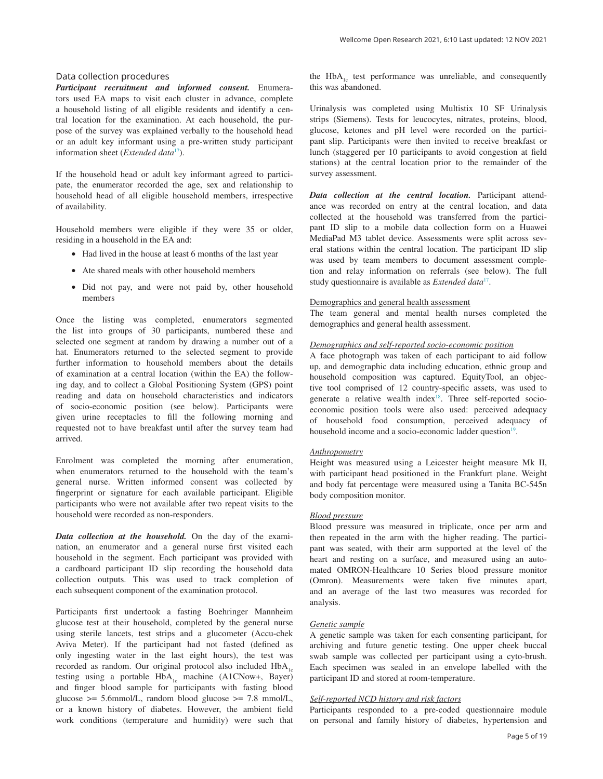#### Data collection procedures

*Participant recruitment and informed consent.* Enumerators used EA maps to visit each cluster in advance, complete a household listing of all eligible residents and identify a central location for the examination. At each household, the purpose of the survey was explained verbally to the household head or an adult key informant using a pre-written study participant information sheet (*Extended data*[17](#page-11-0)).

If the household head or adult key informant agreed to participate, the enumerator recorded the age, sex and relationship to household head of all eligible household members, irrespective of availability.

Household members were eligible if they were 35 or older, residing in a household in the EA and:

- Had lived in the house at least 6 months of the last year
- Ate shared meals with other household members
- Did not pay, and were not paid by, other household members

Once the listing was completed, enumerators segmented the list into groups of 30 participants, numbered these and selected one segment at random by drawing a number out of a hat. Enumerators returned to the selected segment to provide further information to household members about the details of examination at a central location (within the EA) the following day, and to collect a Global Positioning System (GPS) point reading and data on household characteristics and indicators of socio-economic position (see below). Participants were given urine receptacles to fill the following morning and requested not to have breakfast until after the survey team had arrived.

Enrolment was completed the morning after enumeration, when enumerators returned to the household with the team's general nurse. Written informed consent was collected by fingerprint or signature for each available participant. Eligible participants who were not available after two repeat visits to the household were recorded as non-responders.

*Data collection at the household.* On the day of the examination, an enumerator and a general nurse first visited each household in the segment. Each participant was provided with a cardboard participant ID slip recording the household data collection outputs. This was used to track completion of each subsequent component of the examination protocol.

Participants first undertook a fasting Boehringer Mannheim glucose test at their household, completed by the general nurse using sterile lancets, test strips and a glucometer (Accu-chek Aviva Meter). If the participant had not fasted (defined as only ingesting water in the last eight hours), the test was recorded as random. Our original protocol also included  $HbA<sub>1c</sub>$ testing using a portable  $HbA_{1c}$  machine (A1CNow+, Bayer) and finger blood sample for participants with fasting blood glucose  $\geq$  5.6mmol/L, random blood glucose  $\geq$  7.8 mmol/L, or a known history of diabetes. However, the ambient field work conditions (temperature and humidity) were such that

the  $HbA<sub>1c</sub>$  test performance was unreliable, and consequently this was abandoned.

Urinalysis was completed using Multistix 10 SF Urinalysis strips (Siemens). Tests for leucocytes, nitrates, proteins, blood, glucose, ketones and pH level were recorded on the participant slip. Participants were then invited to receive breakfast or lunch (staggered per 10 participants to avoid congestion at field stations) at the central location prior to the remainder of the survey assessment.

*Data collection at the central location.* Participant attendance was recorded on entry at the central location, and data collected at the household was transferred from the participant ID slip to a mobile data collection form on a Huawei MediaPad M3 tablet device. Assessments were split across several stations within the central location. The participant ID slip was used by team members to document assessment completion and relay information on referrals (see below). The full study questionnaire is available as *Extended data*[17](#page-11-0).

#### Demographics and general health assessment

The team general and mental health nurses completed the demographics and general health assessment.

#### *Demographics and self-reported socio-economic position*

A face photograph was taken of each participant to aid follow up, and demographic data including education, ethnic group and household composition was captured. EquityTool, an objective tool comprised of 12 country-specific assets, was used to generate a relative wealth index<sup>18</sup>. Three self-reported socioeconomic position tools were also used: perceived adequacy of household food consumption, perceived adequacy of household income and a socio-economic ladder question<sup>19</sup>.

#### *Anthropometry*

Height was measured using a Leicester height measure Mk II, with participant head positioned in the Frankfurt plane. Weight and body fat percentage were measured using a Tanita BC-545n body composition monitor.

#### *Blood pressure*

Blood pressure was measured in triplicate, once per arm and then repeated in the arm with the higher reading. The participant was seated, with their arm supported at the level of the heart and resting on a surface, and measured using an automated OMRON-Healthcare 10 Series blood pressure monitor (Omron). Measurements were taken five minutes apart, and an average of the last two measures was recorded for analysis.

#### *Genetic sample*

A genetic sample was taken for each consenting participant, for archiving and future genetic testing. One upper cheek buccal swab sample was collected per participant using a cyto-brush. Each specimen was sealed in an envelope labelled with the participant ID and stored at room-temperature.

#### *Self-reported NCD history and risk factors*

Participants responded to a pre-coded questionnaire module on personal and family history of diabetes, hypertension and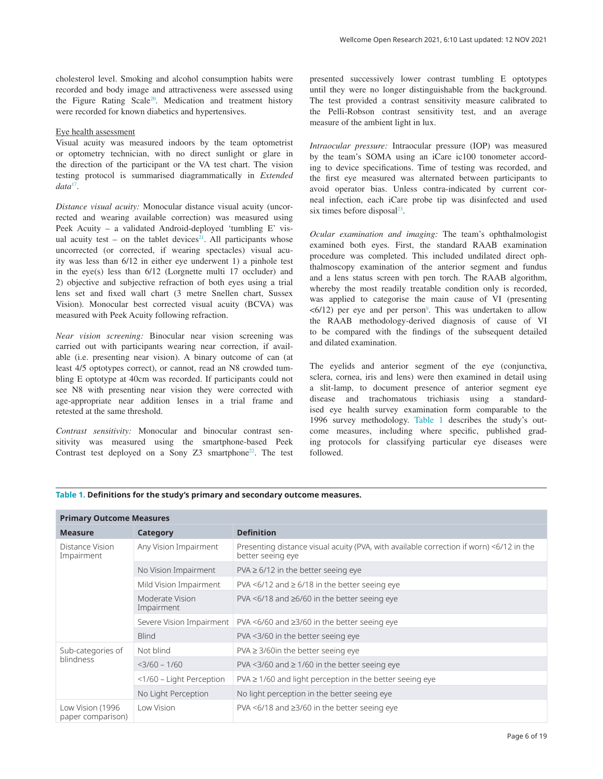<span id="page-5-0"></span>cholesterol level. Smoking and alcohol consumption habits were recorded and body image and attractiveness were assessed using the Figure Rating Scale<sup>[20](#page-11-0)</sup>. Medication and treatment history were recorded for known diabetics and hypertensives.

#### Eye health assessment

Visual acuity was measured indoors by the team optometrist or optometry technician, with no direct sunlight or glare in the direction of the participant or the VA test chart. The vision testing protocol is summarised diagrammatically in *Extended data*[17.](#page-11-0)

*Distance visual acuity:* Monocular distance visual acuity (uncorrected and wearing available correction) was measured using Peek Acuity – a validated Android-deployed 'tumbling E' vis-ual acuity test – on the tablet devices<sup>[21](#page-11-0)</sup>. All participants whose uncorrected (or corrected, if wearing spectacles) visual acuity was less than 6/12 in either eye underwent 1) a pinhole test in the eye(s) less than 6/12 (Lorgnette multi 17 occluder) and 2) objective and subjective refraction of both eyes using a trial lens set and fixed wall chart (3 metre Snellen chart, Sussex Vision). Monocular best corrected visual acuity (BCVA) was measured with Peek Acuity following refraction.

*Near vision screening:* Binocular near vision screening was carried out with participants wearing near correction, if available (i.e. presenting near vision). A binary outcome of can (at least 4/5 optotypes correct), or cannot, read an N8 crowded tumbling E optotype at 40cm was recorded. If participants could not see N8 with presenting near vision they were corrected with age-appropriate near addition lenses in a trial frame and retested at the same threshold.

*Contrast sensitivity:* Monocular and binocular contrast sensitivity was measured using the smartphone-based Peek Contrast test deployed on a Sony Z3 smartphone<sup>22</sup>. The test presented successively lower contrast tumbling E optotypes until they were no longer distinguishable from the background. The test provided a contrast sensitivity measure calibrated to the Pelli-Robson contrast sensitivity test, and an average measure of the ambient light in lux.

*Intraocular pressure:* Intraocular pressure (IOP) was measured by the team's SOMA using an iCare ic100 tonometer according to device specifications. Time of testing was recorded, and the first eye measured was alternated between participants to avoid operator bias. Unless contra-indicated by current corneal infection, each iCare probe tip was disinfected and used six times before disposal $^{23}$  $^{23}$  $^{23}$ .

*Ocular examination and imaging:* The team's ophthalmologist examined both eyes. First, the standard RAAB examination procedure was completed. This included undilated direct ophthalmoscopy examination of the anterior segment and fundus and a lens status screen with pen torch. The RAAB algorithm, whereby the most readily treatable condition only is recorded, was applied to categorise the main cause of VI (presenting  $\leq 6/12$ ) per eye and per person<sup>[9](#page-11-0)</sup>. This was undertaken to allow the RAAB methodology-derived diagnosis of cause of VI to be compared with the findings of the subsequent detailed and dilated examination.

The eyelids and anterior segment of the eye (conjunctiva, sclera, cornea, iris and lens) were then examined in detail using a slit-lamp, to document presence of anterior segment eye disease and trachomatous trichiasis using a standardised eye health survey examination form comparable to the 1996 survey methodology. Table 1 describes the study's outcome measures, including where specific, published grading protocols for classifying particular eye diseases were followed.

#### **Table 1. Definitions for the study's primary and secondary outcome measures.**

| <b>Primary Outcome Measures</b>       |                               |                                                                                                              |  |  |  |
|---------------------------------------|-------------------------------|--------------------------------------------------------------------------------------------------------------|--|--|--|
| <b>Measure</b>                        | Category                      | <b>Definition</b>                                                                                            |  |  |  |
| Distance Vision<br>Impairment         | Any Vision Impairment         | Presenting distance visual acuity (PVA, with available correction if worn) <6/12 in the<br>better seeing eye |  |  |  |
|                                       | No Vision Impairment          | $PVA \ge 6/12$ in the better seeing eye                                                                      |  |  |  |
|                                       | Mild Vision Impairment        | PVA <6/12 and $\geq$ 6/18 in the better seeing eye                                                           |  |  |  |
|                                       | Moderate Vision<br>Impairment | PVA <6/18 and $\geq$ 6/60 in the better seeing eye                                                           |  |  |  |
|                                       | Severe Vision Impairment      | PVA $\leq 6/60$ and $\geq 3/60$ in the better seeing eye                                                     |  |  |  |
|                                       | <b>Blind</b>                  | PVA <3/60 in the better seeing eye                                                                           |  |  |  |
| Sub-categories of<br>blindness        | Not blind                     | $PVA \geq 3/60$ in the better seeing eye                                                                     |  |  |  |
|                                       | $<$ 3/60 - 1/60               | PVA <3/60 and $\geq$ 1/60 in the better seeing eye                                                           |  |  |  |
|                                       | <1/60 - Light Perception      | $PVA \ge 1/60$ and light perception in the better seeing eye                                                 |  |  |  |
|                                       | No Light Perception           | No light perception in the better seeing eye                                                                 |  |  |  |
| Low Vision (1996<br>paper comparison) | Low Vision                    | PVA $\leq$ 6/18 and $\geq$ 3/60 in the better seeing eye                                                     |  |  |  |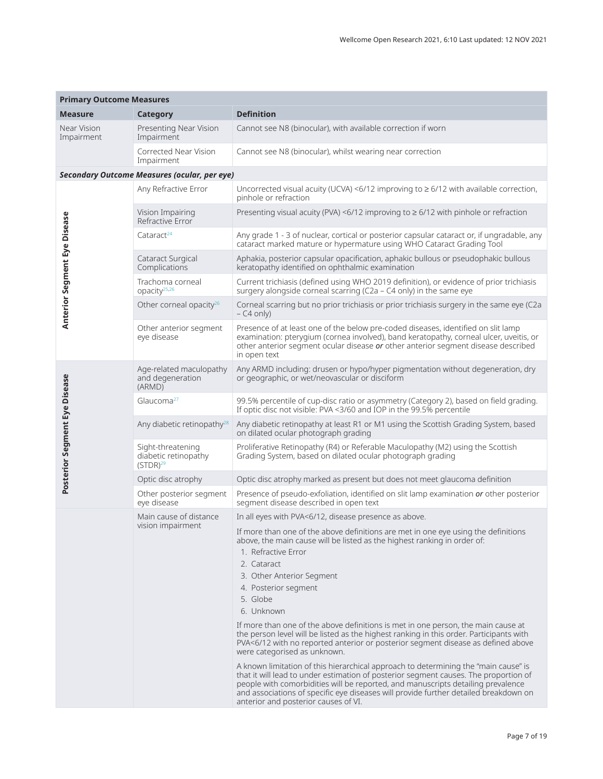| <b>Primary Outcome Measures</b>     |                                                            |                                                                                                                                                                                                                                                                                                                                                                                                 |  |
|-------------------------------------|------------------------------------------------------------|-------------------------------------------------------------------------------------------------------------------------------------------------------------------------------------------------------------------------------------------------------------------------------------------------------------------------------------------------------------------------------------------------|--|
| <b>Measure</b>                      | Category                                                   | <b>Definition</b>                                                                                                                                                                                                                                                                                                                                                                               |  |
| Near Vision<br>Impairment           | Presenting Near Vision<br>Impairment                       | Cannot see N8 (binocular), with available correction if worn                                                                                                                                                                                                                                                                                                                                    |  |
|                                     | Corrected Near Vision<br>Impairment                        | Cannot see N8 (binocular), whilst wearing near correction                                                                                                                                                                                                                                                                                                                                       |  |
|                                     | <b>Secondary Outcome Measures (ocular, per eye)</b>        |                                                                                                                                                                                                                                                                                                                                                                                                 |  |
| <b>Anterior Segment Eye Disease</b> | Any Refractive Error                                       | Uncorrected visual acuity (UCVA) <6/12 improving to $\geq 6/12$ with available correction,<br>pinhole or refraction                                                                                                                                                                                                                                                                             |  |
|                                     | Vision Impairing<br>Refractive Error                       | Presenting visual acuity (PVA) <6/12 improving to $\geq 6/12$ with pinhole or refraction                                                                                                                                                                                                                                                                                                        |  |
|                                     | Cataract <sup>24</sup>                                     | Any grade 1 - 3 of nuclear, cortical or posterior capsular cataract or, if ungradable, any<br>cataract marked mature or hypermature using WHO Cataract Grading Tool                                                                                                                                                                                                                             |  |
|                                     | Cataract Surgical<br>Complications                         | Aphakia, posterior capsular opacification, aphakic bullous or pseudophakic bullous<br>keratopathy identified on ophthalmic examination                                                                                                                                                                                                                                                          |  |
|                                     | Trachoma corneal<br>opacity <sup>25,26</sup>               | Current trichiasis (defined using WHO 2019 definition), or evidence of prior trichiasis<br>surgery alongside corneal scarring (C2a - C4 only) in the same eye                                                                                                                                                                                                                                   |  |
|                                     | Other corneal opacity <sup>26</sup>                        | Corneal scarring but no prior trichiasis or prior trichiasis surgery in the same eye (C2a<br>$-$ C4 only)                                                                                                                                                                                                                                                                                       |  |
|                                     | Other anterior segment<br>eye disease                      | Presence of at least one of the below pre-coded diseases, identified on slit lamp<br>examination: pterygium (cornea involved), band keratopathy, corneal ulcer, uveitis, or<br>other anterior segment ocular disease or other anterior segment disease described<br>in open text                                                                                                                |  |
| Posterior Segment Eye Disease       | Age-related maculopathy<br>and degeneration<br>(ARMD)      | Any ARMD including: drusen or hypo/hyper pigmentation without degeneration, dry<br>or geographic, or wet/neovascular or disciform                                                                                                                                                                                                                                                               |  |
|                                     | Glaucoma <sup>27</sup>                                     | 99.5% percentile of cup-disc ratio or asymmetry (Category 2), based on field grading.<br>If optic disc not visible: PVA <3/60 and IOP in the 99.5% percentile                                                                                                                                                                                                                                   |  |
|                                     | Any diabetic retinopathy <sup>28</sup>                     | Any diabetic retinopathy at least R1 or M1 using the Scottish Grading System, based<br>on dilated ocular photograph grading                                                                                                                                                                                                                                                                     |  |
|                                     | Sight-threatening<br>diabetic retinopathy<br>$(STDR)^{29}$ | Proliferative Retinopathy (R4) or Referable Maculopathy (M2) using the Scottish<br>Grading System, based on dilated ocular photograph grading                                                                                                                                                                                                                                                   |  |
|                                     | Optic disc atrophy                                         | Optic disc atrophy marked as present but does not meet glaucoma definition                                                                                                                                                                                                                                                                                                                      |  |
|                                     | Other posterior segment<br>eye disease                     | Presence of pseudo-exfoliation, identified on slit lamp examination or other posterior<br>segment disease described in open text                                                                                                                                                                                                                                                                |  |
|                                     | Main cause of distance                                     | In all eyes with PVA<6/12, disease presence as above.                                                                                                                                                                                                                                                                                                                                           |  |
|                                     | vision impairment                                          | If more than one of the above definitions are met in one eye using the definitions<br>above, the main cause will be listed as the highest ranking in order of:<br>1. Refractive Error<br>2. Cataract                                                                                                                                                                                            |  |
|                                     |                                                            | 3. Other Anterior Segment                                                                                                                                                                                                                                                                                                                                                                       |  |
|                                     |                                                            | 4. Posterior segment                                                                                                                                                                                                                                                                                                                                                                            |  |
|                                     |                                                            | 5. Globe                                                                                                                                                                                                                                                                                                                                                                                        |  |
|                                     |                                                            | 6. Unknown                                                                                                                                                                                                                                                                                                                                                                                      |  |
|                                     |                                                            | If more than one of the above definitions is met in one person, the main cause at<br>the person level will be listed as the highest ranking in this order. Participants with<br>PVA<6/12 with no reported anterior or posterior segment disease as defined above<br>were categorised as unknown.                                                                                                |  |
|                                     |                                                            | A known limitation of this hierarchical approach to determining the "main cause" is<br>that it will lead to under estimation of posterior segment causes. The proportion of<br>people with comorbidities will be reported, and manuscripts detailing prevalence<br>and associations of specific eye diseases will provide further detailed breakdown on<br>anterior and posterior causes of VI. |  |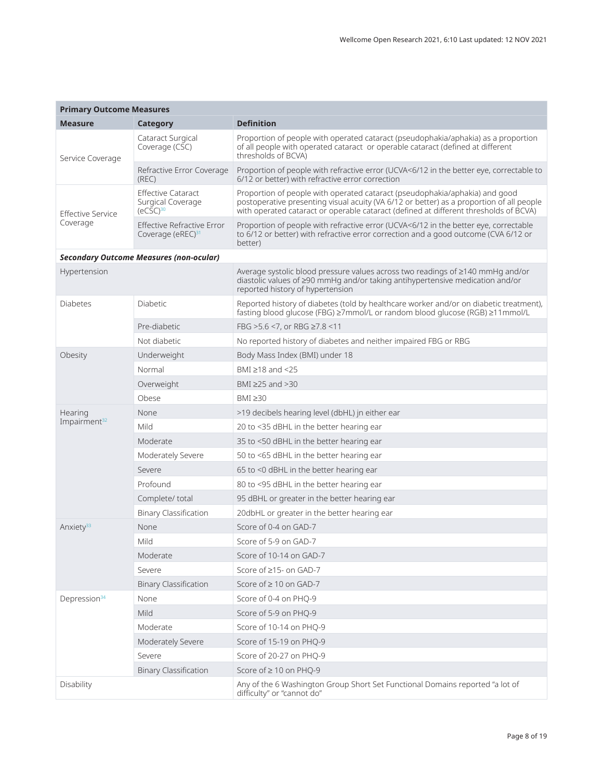| <b>Primary Outcome Measures</b>      |                                                                    |                                                                                                                                                                                                                                                                  |  |  |  |  |
|--------------------------------------|--------------------------------------------------------------------|------------------------------------------------------------------------------------------------------------------------------------------------------------------------------------------------------------------------------------------------------------------|--|--|--|--|
| <b>Measure</b>                       | <b>Category</b>                                                    | <b>Definition</b>                                                                                                                                                                                                                                                |  |  |  |  |
| Service Coverage                     | Cataract Surgical<br>Coverage (CSC)                                | Proportion of people with operated cataract (pseudophakia/aphakia) as a proportion<br>of all people with operated cataract or operable cataract (defined at different<br>thresholds of BCVA)                                                                     |  |  |  |  |
|                                      | Refractive Error Coverage<br>(REC)                                 | Proportion of people with refractive error (UCVA<6/12 in the better eye, correctable to<br>6/12 or better) with refractive error correction                                                                                                                      |  |  |  |  |
| <b>Effective Service</b><br>Coverage | <b>Effective Cataract</b><br>Surgical Coverage<br>$(eCSC)^{30}$    | Proportion of people with operated cataract (pseudophakia/aphakia) and good<br>postoperative presenting visual acuity (VA 6/12 or better) as a proportion of all people<br>with operated cataract or operable cataract (defined at different thresholds of BCVA) |  |  |  |  |
|                                      | <b>Effective Refractive Error</b><br>Coverage (eREC) <sup>31</sup> | Proportion of people with refractive error (UCVA<6/12 in the better eye, correctable<br>to 6/12 or better) with refractive error correction and a good outcome (CVA 6/12 or<br>better)                                                                           |  |  |  |  |
|                                      | <b>Secondary Outcome Measures (non-ocular)</b>                     |                                                                                                                                                                                                                                                                  |  |  |  |  |
| Hypertension                         |                                                                    | Average systolic blood pressure values across two readings of ≥140 mmHg and/or<br>diastolic values of ≥90 mmHg and/or taking antihypertensive medication and/or<br>reported history of hypertension                                                              |  |  |  |  |
| Diabetes                             | Diabetic                                                           | Reported history of diabetes (told by healthcare worker and/or on diabetic treatment),<br>fasting blood glucose (FBG) ≥7mmol/L or random blood glucose (RGB) ≥11mmol/L                                                                                           |  |  |  |  |
|                                      | Pre-diabetic                                                       | FBG >5.6 <7, or RBG ≥7.8 <11                                                                                                                                                                                                                                     |  |  |  |  |
|                                      | Not diabetic                                                       | No reported history of diabetes and neither impaired FBG or RBG                                                                                                                                                                                                  |  |  |  |  |
| Obesity                              | Underweight                                                        | Body Mass Index (BMI) under 18                                                                                                                                                                                                                                   |  |  |  |  |
|                                      | Normal                                                             | BMI $\geq$ 18 and <25                                                                                                                                                                                                                                            |  |  |  |  |
|                                      | Overweight                                                         | BMI $\geq$ 25 and $>$ 30                                                                                                                                                                                                                                         |  |  |  |  |
|                                      | Obese                                                              | BMI $\geq 30$                                                                                                                                                                                                                                                    |  |  |  |  |
| Hearing                              | None                                                               | >19 decibels hearing level (dbHL) jn either ear                                                                                                                                                                                                                  |  |  |  |  |
| Impairment <sup>32</sup>             | Mild                                                               | 20 to <35 dBHL in the better hearing ear                                                                                                                                                                                                                         |  |  |  |  |
|                                      | Moderate                                                           | 35 to <50 dBHL in the better hearing ear                                                                                                                                                                                                                         |  |  |  |  |
|                                      | Moderately Severe                                                  | 50 to <65 dBHL in the better hearing ear                                                                                                                                                                                                                         |  |  |  |  |
|                                      | Severe                                                             | 65 to <0 dBHL in the better hearing ear                                                                                                                                                                                                                          |  |  |  |  |
|                                      | Profound                                                           | 80 to <95 dBHL in the better hearing ear                                                                                                                                                                                                                         |  |  |  |  |
|                                      | Complete/ total                                                    | 95 dBHL or greater in the better hearing ear                                                                                                                                                                                                                     |  |  |  |  |
|                                      | <b>Binary Classification</b>                                       | 20dbHL or greater in the better hearing ear                                                                                                                                                                                                                      |  |  |  |  |
| Anxiety <sup>33</sup>                | None                                                               | Score of 0-4 on GAD-7                                                                                                                                                                                                                                            |  |  |  |  |
|                                      | Mild                                                               | Score of 5-9 on GAD-7                                                                                                                                                                                                                                            |  |  |  |  |
|                                      | Moderate                                                           | Score of 10-14 on GAD-7                                                                                                                                                                                                                                          |  |  |  |  |
|                                      | Severe                                                             | Score of ≥15- on GAD-7                                                                                                                                                                                                                                           |  |  |  |  |
|                                      | <b>Binary Classification</b>                                       | Score of ≥ 10 on GAD-7                                                                                                                                                                                                                                           |  |  |  |  |
| Depression <sup>34</sup>             | None                                                               | Score of 0-4 on PHQ-9                                                                                                                                                                                                                                            |  |  |  |  |
|                                      | Mild                                                               | Score of 5-9 on PHQ-9                                                                                                                                                                                                                                            |  |  |  |  |
|                                      | Moderate                                                           | Score of 10-14 on PHO-9                                                                                                                                                                                                                                          |  |  |  |  |
|                                      | Moderately Severe                                                  | Score of 15-19 on PHQ-9                                                                                                                                                                                                                                          |  |  |  |  |
|                                      | Severe                                                             | Score of 20-27 on PHQ-9                                                                                                                                                                                                                                          |  |  |  |  |
|                                      | <b>Binary Classification</b>                                       | Score of ≥ 10 on PHQ-9                                                                                                                                                                                                                                           |  |  |  |  |
| Disability                           |                                                                    | Any of the 6 Washington Group Short Set Functional Domains reported "a lot of<br>difficulty" or "cannot do"                                                                                                                                                      |  |  |  |  |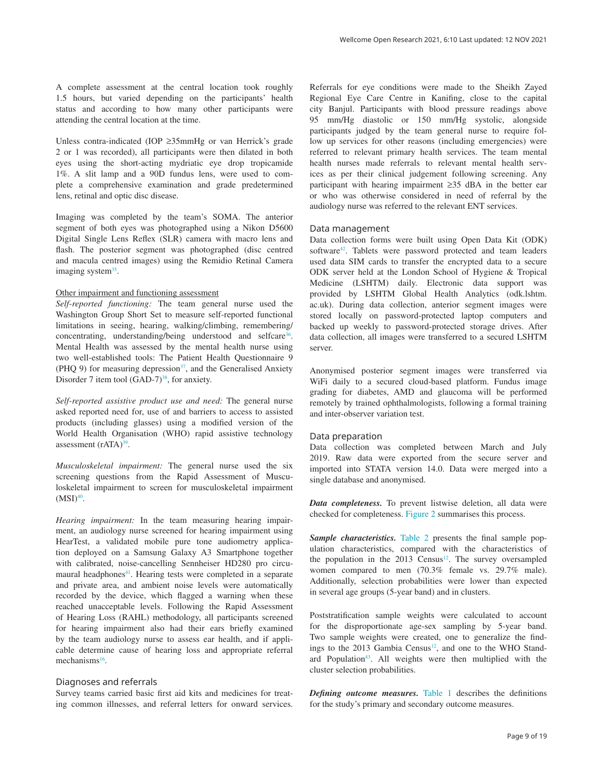A complete assessment at the central location took roughly 1.5 hours, but varied depending on the participants' health status and according to how many other participants were attending the central location at the time.

Unless contra-indicated (IOP ≥35mmHg or van Herrick's grade 2 or 1 was recorded), all participants were then dilated in both eyes using the short-acting mydriatic eye drop tropicamide 1%. A slit lamp and a 90D fundus lens, were used to complete a comprehensive examination and grade predetermined lens, retinal and optic disc disease.

Imaging was completed by the team's SOMA. The anterior segment of both eyes was photographed using a Nikon D5600 Digital Single Lens Reflex (SLR) camera with macro lens and flash. The posterior segment was photographed (disc centred and macula centred images) using the Remidio Retinal Camera imaging system<sup>35</sup>.

#### Other impairment and functioning assessment

*Self-reported functioning:* The team general nurse used the Washington Group Short Set to measure self-reported functional limitations in seeing, hearing, walking/climbing, remembering/ concentrating, understanding/being understood and selfcare<sup>36</sup>. Mental Health was assessed by the mental health nurse using two well-established tools: The Patient Health Questionnaire 9 (PHQ 9) for measuring depression $37$ , and the Generalised Anxiety Disorder 7 item tool  $(GAD-7)^{38}$ , for anxiety.

*Self-reported assistive product use and need:* The general nurse asked reported need for, use of and barriers to access to assisted products (including glasses) using a modified version of the World Health Organisation (WHO) rapid assistive technology assessment (rATA)<sup>39</sup>.

*Musculoskeletal impairment:* The general nurse used the six screening questions from the Rapid Assessment of Musculoskeletal impairment to screen for musculoskeletal impairment  $(MSI)<sup>40</sup>$ .

*Hearing impairment:* In the team measuring hearing impairment, an audiology nurse screened for hearing impairment using HearTest, a validated mobile pure tone audiometry application deployed on a Samsung Galaxy A3 Smartphone together with calibrated, noise-cancelling Sennheiser HD280 pro circumaural headphones<sup>41</sup>. Hearing tests were completed in a separate and private area, and ambient noise levels were automatically recorded by the device, which flagged a warning when these reached unacceptable levels. Following the Rapid Assessment of Hearing Loss (RAHL) methodology, all participants screened for hearing impairment also had their ears briefly examined by the team audiology nurse to assess ear health, and if applicable determine cause of hearing loss and appropriate referral mechanisms<sup>16</sup>.

#### Diagnoses and referrals

Survey teams carried basic first aid kits and medicines for treating common illnesses, and referral letters for onward services.

Referrals for eye conditions were made to the Sheikh Zayed Regional Eye Care Centre in Kanifing, close to the capital city Banjul. Participants with blood pressure readings above 95 mm/Hg diastolic or 150 mm/Hg systolic, alongside participants judged by the team general nurse to require follow up services for other reasons (including emergencies) were referred to relevant primary health services. The team mental health nurses made referrals to relevant mental health services as per their clinical judgement following screening. Any participant with hearing impairment ≥35 dBA in the better ear or who was otherwise considered in need of referral by the audiology nurse was referred to the relevant ENT services.

#### Data management

Data collection forms were built using Open Data Kit (ODK) software<sup>42</sup>. Tablets were password protected and team leaders used data SIM cards to transfer the encrypted data to a secure ODK server held at the London School of Hygiene & Tropical Medicine (LSHTM) daily. Electronic data support was provided by LSHTM Global Health Analytics (odk.lshtm. ac.uk). During data collection, anterior segment images were stored locally on password-protected laptop computers and backed up weekly to password-protected storage drives. After data collection, all images were transferred to a secured LSHTM server.

Anonymised posterior segment images were transferred via WiFi daily to a secured cloud-based platform. Fundus image grading for diabetes, AMD and glaucoma will be performed remotely by trained ophthalmologists, following a formal training and inter-observer variation test.

#### Data preparation

Data collection was completed between March and July 2019. Raw data were exported from the secure server and imported into STATA version 14.0. Data were merged into a single database and anonymised.

*Data completeness.* To prevent listwise deletion, all data were checked for completeness. [Figure 2](#page-9-0) summarises this process.

*Sample characteristics.* [Table 2](#page-10-0) presents the final sample population characteristics, compared with the characteristics of the population in the  $2013$  Census<sup>12</sup>. The survey oversampled women compared to men (70.3% female vs. 29.7% male). Additionally, selection probabilities were lower than expected in several age groups (5-year band) and in clusters.

Poststratification sample weights were calculated to account for the disproportionate age-sex sampling by 5-year band. Two sample weights were created, one to generalize the find-ings to the 2013 Gambia Census<sup>[12](#page-11-0)</sup>, and one to the WHO Standard Population<sup>43</sup>. All weights were then multiplied with the cluster selection probabilities.

*Defining outcome measures.* [Table 1](#page-5-0) describes the definitions for the study's primary and secondary outcome measures.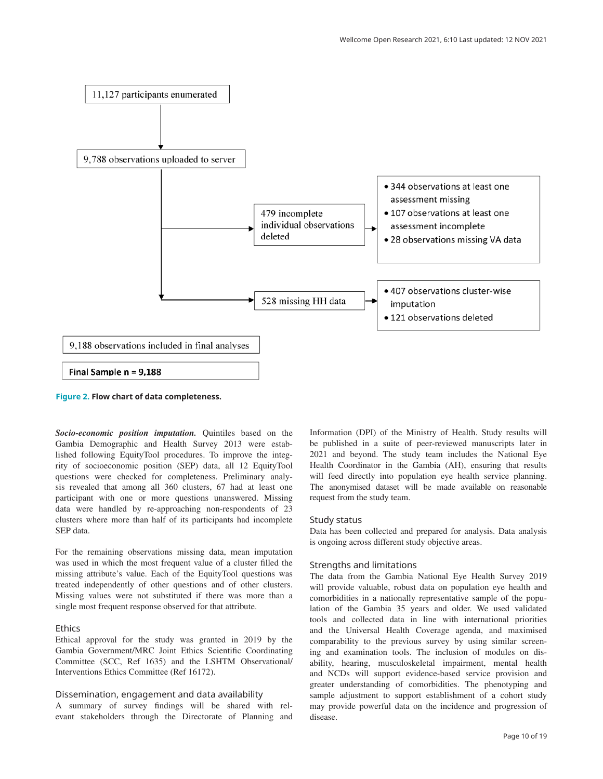<span id="page-9-0"></span>

**Figure 2. Flow chart of data completeness.**

*Socio-economic position imputation.* Quintiles based on the Gambia Demographic and Health Survey 2013 were established following EquityTool procedures. To improve the integrity of socioeconomic position (SEP) data, all 12 EquityTool questions were checked for completeness. Preliminary analysis revealed that among all 360 clusters, 67 had at least one participant with one or more questions unanswered. Missing data were handled by re-approaching non-respondents of 23 clusters where more than half of its participants had incomplete SEP data.

For the remaining observations missing data, mean imputation was used in which the most frequent value of a cluster filled the missing attribute's value. Each of the EquityTool questions was treated independently of other questions and of other clusters. Missing values were not substituted if there was more than a single most frequent response observed for that attribute.

#### Ethics

Ethical approval for the study was granted in 2019 by the Gambia Government/MRC Joint Ethics Scientific Coordinating Committee (SCC, Ref 1635) and the LSHTM Observational/ Interventions Ethics Committee (Ref 16172).

#### Dissemination, engagement and data availability

A summary of survey findings will be shared with relevant stakeholders through the Directorate of Planning and Information (DPI) of the Ministry of Health. Study results will be published in a suite of peer-reviewed manuscripts later in 2021 and beyond. The study team includes the National Eye Health Coordinator in the Gambia (AH), ensuring that results will feed directly into population eye health service planning. The anonymised dataset will be made available on reasonable request from the study team.

#### Study status

Data has been collected and prepared for analysis. Data analysis is ongoing across different study objective areas.

#### Strengths and limitations

The data from the Gambia National Eye Health Survey 2019 will provide valuable, robust data on population eye health and comorbidities in a nationally representative sample of the population of the Gambia 35 years and older. We used validated tools and collected data in line with international priorities and the Universal Health Coverage agenda, and maximised comparability to the previous survey by using similar screening and examination tools. The inclusion of modules on disability, hearing, musculoskeletal impairment, mental health and NCDs will support evidence-based service provision and greater understanding of comorbidities. The phenotyping and sample adjustment to support establishment of a cohort study may provide powerful data on the incidence and progression of disease.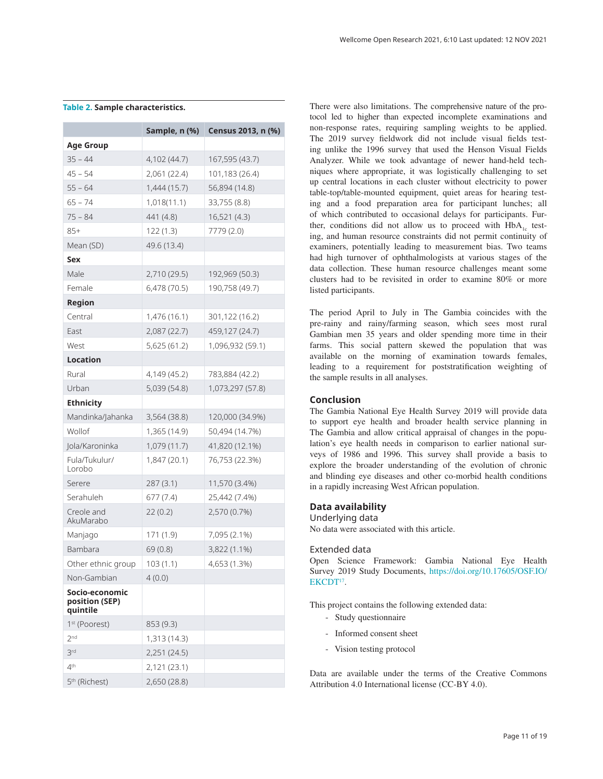|                                              | Sample, n (%) | Census 2013, n (%) |
|----------------------------------------------|---------------|--------------------|
| <b>Age Group</b>                             |               |                    |
| $35 - 44$                                    | 4,102 (44.7)  | 167,595 (43.7)     |
| $45 - 54$                                    | 2,061 (22.4)  | 101,183 (26.4)     |
| $55 - 64$                                    | 1,444(15.7)   | 56,894 (14.8)      |
| $65 - 74$                                    | 1,018(11.1)   | 33,755 (8.8)       |
| $75 - 84$                                    | 441 (4.8)     | 16,521 (4.3)       |
| $85+$                                        | 122(1.3)      | 7779 (2.0)         |
| Mean (SD)                                    | 49.6 (13.4)   |                    |
| Sex                                          |               |                    |
| Male                                         | 2,710 (29.5)  | 192,969 (50.3)     |
| Female                                       | 6,478 (70.5)  | 190,758 (49.7)     |
| Region                                       |               |                    |
| Central                                      | 1,476 (16.1)  | 301,122 (16.2)     |
| East                                         | 2,087 (22.7)  | 459,127 (24.7)     |
| West                                         | 5,625 (61.2)  | 1,096,932 (59.1)   |
| <b>Location</b>                              |               |                    |
| Rural                                        | 4,149 (45.2)  | 783,884 (42.2)     |
| Urban                                        | 5,039 (54.8)  | 1,073,297 (57.8)   |
| <b>Ethnicity</b>                             |               |                    |
| Mandinka/Jahanka                             | 3,564 (38.8)  | 120,000 (34.9%)    |
| Wollof                                       | 1,365 (14.9)  | 50,494 (14.7%)     |
| Jola/Karoninka                               | 1,079 (11.7)  | 41,820 (12.1%)     |
| Fula/Tukulur/<br>Lorobo                      | 1,847 (20.1)  | 76,753 (22.3%)     |
| Serere                                       | 287 (3.1)     | 11,570 (3.4%)      |
| Serahuleh                                    | 677 (7.4)     | 25,442 (7.4%)      |
| Creole and<br>AkuMarabo                      | 22(0.2)       | 2,570 (0.7%)       |
| Manjago                                      | 171 (1.9)     | 7,095 (2.1%)       |
| Bambara                                      | 69 (0.8)      | 3,822 (1.1%)       |
| Other ethnic group                           | 103(1.1)      | 4,653 (1.3%)       |
| Non-Gambian                                  | 4(0.0)        |                    |
| Socio-economic<br>position (SEP)<br>quintile |               |                    |
| 1 <sup>st</sup> (Poorest)                    | 853 (9.3)     |                    |
| 2 <sub>nd</sub>                              | 1,313 (14.3)  |                    |
| 3rd                                          | 2,251 (24.5)  |                    |
| 4 <sup>th</sup>                              | 2,121 (23.1)  |                    |
| 5 <sup>th</sup> (Richest)                    | 2,650 (28.8)  |                    |

#### <span id="page-10-0"></span>**Table 2. Sample characteristics.**

There were also limitations. The comprehensive nature of the protocol led to higher than expected incomplete examinations and non-response rates, requiring sampling weights to be applied. The 2019 survey fieldwork did not include visual fields testing unlike the 1996 survey that used the Henson Visual Fields Analyzer. While we took advantage of newer hand-held techniques where appropriate, it was logistically challenging to set up central locations in each cluster without electricity to power table-top/table-mounted equipment, quiet areas for hearing testing and a food preparation area for participant lunches; all of which contributed to occasional delays for participants. Further, conditions did not allow us to proceed with  $HbA<sub>1c</sub>$  testing, and human resource constraints did not permit continuity of examiners, potentially leading to measurement bias. Two teams had high turnover of ophthalmologists at various stages of the data collection. These human resource challenges meant some clusters had to be revisited in order to examine 80% or more listed participants.

The period April to July in The Gambia coincides with the pre-rainy and rainy/farming season, which sees most rural Gambian men 35 years and older spending more time in their farms. This social pattern skewed the population that was available on the morning of examination towards females, leading to a requirement for poststratification weighting of the sample results in all analyses.

#### **Conclusion**

The Gambia National Eye Health Survey 2019 will provide data to support eye health and broader health service planning in The Gambia and allow critical appraisal of changes in the population's eye health needs in comparison to earlier national surveys of 1986 and 1996. This survey shall provide a basis to explore the broader understanding of the evolution of chronic and blinding eye diseases and other co-morbid health conditions in a rapidly increasing West African population.

#### **Data availability**

Underlying data No data were associated with this article.

#### Extended data

Open Science Framework: Gambia National Eye Health Survey 2019 Study Documents, [https://doi.org/10.17605/OSF.IO/](https://doi.org/10.17605/OSF.IO/EKCDT) [EKCDT](https://doi.org/10.17605/OSF.IO/EKCDT)<sup>17</sup>.

This project contains the following extended data:

- Study questionnaire
- Informed consent sheet
- Vision testing protocol

Data are available under the terms of the Creative Commons Attribution 4.0 International license (CC-BY 4.0).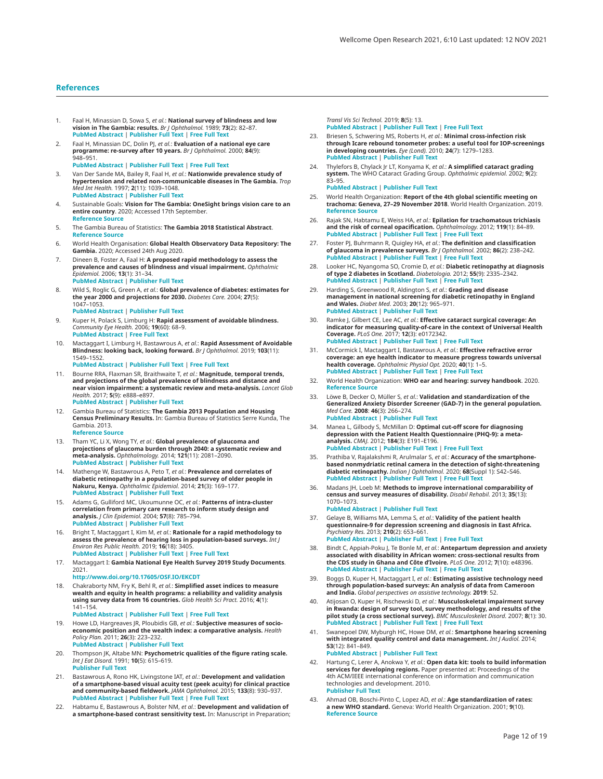#### <span id="page-11-0"></span>**References**

- 1. Faal H, Minassian D, Sowa S, *et al.*: **National survey of blindness and low vision in The Gambia: results.** *Br J Ophthalmol.* 1989; **73**(2): 82–87. **PubMed [Abstract](http://www.ncbi.nlm.nih.gov/pubmed/2784691)** | **[Publisher](http://dx.doi.org/10.1136/bjo.73.2.82) Full Text** | **[Free](http://www.ncbi.nlm.nih.gov/pmc/articles/1041660) Full Text**
- 2. Faal H, Minassian DC, Dolin PJ, *et al.*: **Evaluation of a national eye care programme: re-survey after 10 years.** *Br J Ophthalmol.* 2000; **84**(9): 948–951. **PubMed [Abstract](http://www.ncbi.nlm.nih.gov/pubmed/10966942)** | **[Publisher](http://dx.doi.org/10.1136/bjo.84.9.948) Full Text** | **[Free](http://www.ncbi.nlm.nih.gov/pmc/articles/1723659) Full Text**
- 3. Van Der Sande MA, Bailey R, Faal H, *et al.*: **Nationwide prevalence study of hypertension and related non-communicable diseases in The Gambia.** *Trop Med Int Health.* 1997; **2**(11): 1039–1048. **PubMed [Abstract](http://www.ncbi.nlm.nih.gov/pubmed/9391506)** | **[Publisher](http://dx.doi.org/10.1046/j.1365-3156.1997.d01-184.x) Full Text**
- 4. Sustainable Goals: **Vision for The Gambia: OneSight brings vision care to an entire country**. 2020; Accessed 17th September. **[Reference](https://www.sustainablegoals.org.uk/vision-for-the-gambia/) Source**
- 5. The Gambia Bureau of Statistics: **The Gambia 2018 Statistical Abstract**. **[Reference](https://www.google.com/url?sa=t&rct=j&q=&esrc=s&source=web&cd=&cad=rja&uact=8&ved=2ahUKEwjHpc_zsaXuAhWBguYKHb2UC2gQFjAAegQIAxAC&url=https://www.gbosdata.org/downloads-file/the-2018-gambia-statistical-yearbook-abstract&usg=AOvVaw0IszoKf-f5cXMNZVR6Tj25) Source**
- 6. World Health Organisation: **Global Health Observatory Data Repository: The Gambia.** 2020; Accessed 24th Aug 2020.
- 7. Dineen B, Foster A, Faal H: **A proposed rapid methodology to assess the prevalence and causes of blindness and visual impairment.** *Ophthalmic Epidemiol.* 2006; **13**(1): 31–34. **PubMed [Abstract](http://www.ncbi.nlm.nih.gov/pubmed/16510344)** | **[Publisher](http://dx.doi.org/10.1080/09286580500473787) Full Text**
- 8. Wild S, Roglic G, Green A, *et al.*: **Global prevalence of diabetes: estimates for the year 2000 and projections for 2030.** *Diabetes Care.* 2004; **27**(5): 1047–1053. **PubMed [Abstract](http://www.ncbi.nlm.nih.gov/pubmed/15111519)** | **[Publisher](http://dx.doi.org/10.2337/diacare.27.5.1047) Full Text**
- 9. Kuper H, Polack S, Limburg H: **Rapid assessment of avoidable blindness.** *Community Eye Health.* 2006; **19**(60): 68–9. **PubMed [Abstract](http://www.ncbi.nlm.nih.gov/pubmed/17515970)** | **[Free](http://www.ncbi.nlm.nih.gov/pmc/articles/1871676) Full Text**
- 10. Mactaggart I, Limburg H, Bastawrous A, *et al.*: **Rapid Assessment of Avoidable**<br>**Blindness: looking back, looking forward.** *Br J Ophthalmol.* 2019; **103**(11): 1549–1552.
	- **PubMed [Abstract](http://www.ncbi.nlm.nih.gov/pubmed/31266777)** | **[Publisher](http://dx.doi.org/10.1136/bjophthalmol-2019-314015) Full Text** | **[Free](http://www.ncbi.nlm.nih.gov/pmc/articles/6855783) Full Text**
- 11. Bourne RRA, Flaxman SR, Braithwaite T, *et al.*: **Magnitude, temporal trends, and projections of the global prevalence of blindness and distance and near vision impairment: a systematic review and meta-analysis.** *Lancet Glob Health.* 2017; **5**(9): e888–e897. **PubMed [Abstract](http://www.ncbi.nlm.nih.gov/pubmed/28779882)** | **[Publisher](http://dx.doi.org/10.1016/S2214-109X(17)30293-0) Full Text**
- 12. Gambia Bureau of Statistics: **The Gambia 2013 Population and Housing Census Preliminary Results.** In: Gambia Bureau of Statistics Serre Kunda, The Gambia. 2013. **[Reference](https://www.google.com/url?sa=t&rct=j%3cq=&esrc=s&source=web&cd=&cad=rja&uact=8&ved=2ahUKEwiUyNWysqXuAhUS5nMBHQrlBcMQFjADegQIDhAC&url=http://212.60.69.113/downloads-file/census-2013-the-gambia-2013-population-and-housing-1&usg=AOvVaw17IFS1jGANT_Eg0wvsP6bF) Source**
- 13. Tham YC, Li X, Wong TY, *et al.*: **Global prevalence of glaucoma and projections of glaucoma burden through 2040: a systematic review and meta-analysis.** *Ophthalmology.* 2014; **121**(11): 2081–2090. **PubMed [Abstract](http://www.ncbi.nlm.nih.gov/pubmed/24974815)** | **[Publisher](http://dx.doi.org/10.1016/j.ophtha.2014.05.013) Full Text**
- 14. Mathenge W, Bastawrous A, Peto T, *et al.*: **Prevalence and correlates of** diabetic retinopathy in a population-based survey of older people in<br>Nakuru, Kenya. Ophthalmic Epidemiol. 2014; **21**(3): 169–177. **PubMed [Abstract](http://www.ncbi.nlm.nih.gov/pubmed/24758280)** | **[Publisher](http://dx.doi.org/10.3109/09286586.2014.903982) Full Text**
- 15. Adams G, Gulliford MC, Ukoumunne OC, *et al.*: **Patterns of intra-cluster correlation from primary care research to inform study design and analysis.** *J Clin Epidemiol.* 2004; **57**(8): 785–794. **PubMed [Abstract](http://www.ncbi.nlm.nih.gov/pubmed/15485730)** | **[Publisher](http://dx.doi.org/10.1016/j.jclinepi.2003.12.013) Full Text**
- 16. Bright T, Mactaggart I, Kim M, *et al.*: **Rationale for a rapid methodology to assess the prevalence of hearing loss in population-based surveys.** *Int J Environ Res Public Health.* 2019; **16**(18): 3405. **PubMed [Abstract](http://www.ncbi.nlm.nih.gov/pubmed/31540309)** | **[Publisher](http://dx.doi.org/10.3390/ijerph16183405) Full Text** | **[Free](http://www.ncbi.nlm.nih.gov/pmc/articles/6765773) Full Text**
- 17. Mactaggart I: **Gambia National Eye Health Survey 2019 Study Documents**. 2021. **<http://www.doi.org/10.17605/OSF.IO/EKCDT>**
- 18. Chakraborty NM, Fry K, Behl R, *et al.*: **Simplified asset indices to measure**  wealth and equity in health programs: a reliability and validity analysis<br>using survey data from 16 countries. Glob Health Sci Pract. 2016; 4(1): 141–154. **PubMed [Abstract](http://www.ncbi.nlm.nih.gov/pubmed/27016550)** | **[Publisher](http://dx.doi.org/10.9745/GHSP-D-15-00384) Full Text** | **[Free](http://www.ncbi.nlm.nih.gov/pmc/articles/4807755) Full Text**
- 19. Howe LD, Hargreaves JR, Ploubidis GB, *et al.*: **Subjective measures of socioeconomic position and the wealth index: a comparative analysis.** *Health Policy Plan.* 2011; **26**(3): 223–232. **PubMed [Abstract](http://www.ncbi.nlm.nih.gov/pubmed/20817696)** | **[Publisher](http://dx.doi.org/10.1093/heapol/czq043) Full Text**
- 20. Thompson JK, Altabe MN: **Psychometric qualities of the figure rating scale.** *Int J Eat Disord.* 1991; **10**(5): 615–619. **[Publisher](http://dx.doi.org/10.1002/1098-108X(199109)10:5<615::AID-EAT2260100514>3.0.CO;2-K) Full Text**
- 21. Bastawrous A, Rono HK, Livingstone IAT, *et al.*: **Development and validation of a smartphone-based visual acuity test (peek acuity) for clinical practice and community-based fieldwork.** *JAMA Ophthalmol.* 2015; **133**(8): 930–937. **PubMed [Abstract](http://www.ncbi.nlm.nih.gov/pubmed/26022921)** | **[Publisher](http://dx.doi.org/10.1001/jamaophthalmol.2015.1468) Full Text** | **[Free](http://www.ncbi.nlm.nih.gov/pmc/articles/5321502) Full Text**
- 22. Habtamu E, Bastawrous A, Bolster NM, *et al.*: **Development and validation of a smartphone-based contrast sensitivity test.** In: Manuscript in Preparation;

*Transl Vis Sci Technol.* 2019; **8**(5): 13. **PubMed [Abstract](http://www.ncbi.nlm.nih.gov/pubmed/31579557)** | **[Publisher](http://dx.doi.org/10.1167/tvst.8.5.13) Full Text** | **[Free](http://www.ncbi.nlm.nih.gov/pmc/articles/6743644) Full Text**

- 23. Briesen S, Schwering MS, Roberts H, *et al.*: **Minimal cross-infection risk**<br>**through Icare rebound tonometer probes: a useful tool for IOP-screenings in developing countries.** *Eye (Lond).* 2010; **24**(7): 1279–1283. **PubMed [Abstract](http://www.ncbi.nlm.nih.gov/pubmed/19960037)** | **[Publisher](http://dx.doi.org/10.1038/eye.2009.297) Full Text**
- 24. Thylefors B, Chylack Jr LT, Konyama K, *et al.*: **A simplified cataract grading system.** The WHO Cataract Grading Group. *Ophthalmic epidemiol.* 2002; **9**(2): 83–95. **PubMed [Abstract](http://www.ncbi.nlm.nih.gov/pubmed/11821974)** | **[Publisher](http://dx.doi.org/10.1076/opep.9.2.83.1523) Full Text**
- 25. World Health Organization: **Report of the 4th global scientific meeting on trachoma: Geneva, 27–29 November 2018**. World Health Organization. 2019. **[Reference](https://www.google.com/url?sa=t&rct=j<q=&esrc=s&source=web&cd=&cad=rja&uact=8&ved=2ahUKEwjR4qays6XuAhU54XMBHRF7AgAQFjABegQIARAC&url=https://apps.who.int/iris/rest/bitstreams/1232764/retrieve&usg=AOvVaw3ul0S1znVrQ-vSRNF2hd2C) Source**
- 26. Rajak SN, Habtamu E, Weiss HA, *et al.*: **Epilation for trachomatous trichiasis and the risk of corneal opacification.** *Ophthalmology.* 2012; **119**(1): 84–89. **PubMed [Abstract](http://www.ncbi.nlm.nih.gov/pubmed/21975041)** | **[Publisher](http://dx.doi.org/10.1016/j.ophtha.2011.06.045) Full Text** | **[Free](http://www.ncbi.nlm.nih.gov/pmc/articles/3694301) Full Text**
- 27. Foster PJ, Buhrmann R, Quigley HA, *et al*.: **The definition and classification**<br>**of glaucoma in prevalence surveys.** *Br J Ophthalmol.* 2002; **86**(2): 238–242.<br>**PubMed [Abstract](http://www.ncbi.nlm.nih.gov/pubmed/11815354) | [Publisher](http://dx.doi.org/10.1136/bjo.86.2.238) Full Text** | [Free](http://www.ncbi.nlm.nih.gov/pmc/articles/1771026) Full Text
- 28. Looker HC, Nyangoma SO, Cromie D, *et al.*: **Diabetic retinopathy at diagnosis of type 2 diabetes in Scotland.** *Diabetologia.* 2012; **55**(9): 2335–2342. **PubMed [Abstract](http://www.ncbi.nlm.nih.gov/pubmed/22688348)** | **[Publisher](http://dx.doi.org/10.1007/s00125-012-2596-z) Full Text** | **[Free](http://www.ncbi.nlm.nih.gov/pmc/articles/3411303) Full Text**
- 29. Harding S, Greenwood R, Aldington S, *et al.*: **Grading and disease**<br>**management in national screening for diabetic retinopathy in England and Wales.** *Diabet Med.* 2003; **20**(12): 965–971. **PubMed [Abstract](http://www.ncbi.nlm.nih.gov/pubmed/14632697)** | **[Publisher](http://dx.doi.org/10.1111/j.1464-5491.2003.01077.x) Full Text**
- 30. Ramke J, Gilbert CE, Lee AC, *et al.*: **Effective cataract surgical coverage: An indicator for measuring quality-of-care in the context of Universal Health Coverage.** *PLoS One.* 2017; **12**(3): e0172342. **PubMed [Abstract](http://www.ncbi.nlm.nih.gov/pubmed/28249047)** | **[Publisher](http://dx.doi.org/10.1371/journal.pone.0172342) Full Text** | **[Free](http://www.ncbi.nlm.nih.gov/pmc/articles/5382971) Full Text**
- 31. McCormick I, Mactaggart I, Bastawrous A, *et al.*: **Effective refractive error coverage: an eye health indicator to measure progress towards universal health coverage.** *Ophthalmic Physiol Opt.* 2020; **40**(1): 1–5. **PubMed [Abstract](http://www.ncbi.nlm.nih.gov/pubmed/31879992)** | **[Publisher](http://dx.doi.org/10.1111/opo.12662) Full Text** | **[Free](http://www.ncbi.nlm.nih.gov/pmc/articles/7004023) Full Text**
- 32. World Health Organization: **WHO ear and hearing: survey handbook**. 2020. **[Reference](https://www.who.int/publications/i/item/9789240000506-who-ear-and-hearing-survey-handbook) Source**
- 33. Löwe B, Decker O, Müller S, *et al.*: **Validation and standardization of the**<br>Generalized Anxiety Disorder Screener (GAD-7) in the general population. *Med Care.* **2008**: **46**(3): 266–274. **PubMed [Abstract](http://www.ncbi.nlm.nih.gov/pubmed/18388841)** | **[Publisher](http://dx.doi.org/10.1097/MLR.0b013e318160d093) Full Text**
- 34. Manea L, Gilbody S, McMillan D: **Optimal cut-off score for diagnosing depression with the Patient Health Questionnaire (PHQ-9): a metaanalysis.** *CMAJ.* 2012; **184**(3): E191–E196. **PubMed [Abstract](http://www.ncbi.nlm.nih.gov/pubmed/22184363)** | **[Publisher](http://dx.doi.org/10.1503/cmaj.110829) Full Text** | **[Free](http://www.ncbi.nlm.nih.gov/pmc/articles/3281183) Full Text**
- 35. Prathiba V, Rajalakshmi R, Arulmalar S, *et al.*: **Accuracy of the smartphonebased nonmydriatic retinal camera in the detection of sight-threatening diabetic retinopathy.** *Indian J Ophthalmol.* 2020; **68**(Suppl 1): S42–S46. **PubMed [Abstract](http://www.ncbi.nlm.nih.gov/pubmed/31937728)** | **[Publisher](http://dx.doi.org/10.4103/ijo.IJO_1937_19) Full Text** | **[Free](http://www.ncbi.nlm.nih.gov/pmc/articles/7001191) Full Text**
- 36. Madans JH, Loeb M: **Methods to improve international comparability of census and survey measures of disability.** *Disabil Rehabil.* 2013; **35**(13): 1070–1073. **PubMed [Abstract](http://www.ncbi.nlm.nih.gov/pubmed/23020151)** | **[Publisher](http://dx.doi.org/10.3109/09638288.2012.720353) Full Text**

37. Gelaye B, Williams MA, Lemma S, *et al.*: **Validity of the patient health**

- **questionnaire-9 for depression screening and diagnosis in East Africa.** *Psychiatry Res.* 2013; **210**(2): 653–661. **PubMed [Abstract](http://www.ncbi.nlm.nih.gov/pubmed/23972787)** | **[Publisher](http://dx.doi.org/10.1016/j.psychres.2013.07.015) Full Text** | **[Free](http://www.ncbi.nlm.nih.gov/pmc/articles/3818385) Full Text**
- 38. Bindt C, Appiah-Poku J, Te Bonle M, *et al.*: **Antepartum depression and anxiety associated with disability in African women: cross-sectional results from the CDS study in Ghana and Côte d'Ivoire.** *PLoS One.* 2012; **7**(10): e48396. **PubMed [Abstract](http://www.ncbi.nlm.nih.gov/pubmed/23110236)** | **[Publisher](http://dx.doi.org/10.1371/journal.pone.0048396) Full Text** | **[Free](http://www.ncbi.nlm.nih.gov/pmc/articles/3482210) Full Text**
- 39. Boggs D, Kuper H, Mactaggart I, *et al.*: **Estimating assistive technology need through population-based surveys: An analysis of data from Cameroon and India.** *Global perspectives on assistive technology.* **2019**: 52.
- 40. Atijosan O, Kuper H, Rischewski D, *et al.*: **Musculoskeletal impairment survey** in Rwanda: design of survey tool, survey methodology, and results of the<br>pilot study (a cross sectional survey). BMC Musculoskelet Disord. 2007; 8(1): 30. **PubMed [Abstract](http://www.ncbi.nlm.nih.gov/pubmed/17391509)** | **[Publisher](http://dx.doi.org/10.1186/1471-2474-8-30) Full Text** | **[Free](http://www.ncbi.nlm.nih.gov/pmc/articles/1852555) Full Text**
- 41. Swanepoel DW, Myburgh HC, Howe DM, *et al.*: **Smartphone hearing screening**<br>**with integrated quality control and data management.** *Int J Audiol.* 2014; **53**(12): 841–849. **PubMed [Abstract](http://www.ncbi.nlm.nih.gov/pubmed/24998412)** | **[Publisher](http://dx.doi.org/10.3109/14992027.2014.920965) Full Text**
- 42. Hartung C, Lerer A, Anokwa Y, *et al.*: **Open data kit: tools to build information services for developing regions.** Paper presented at: Proceedings of the 4th ACM/IEEE international conference on information and communication technologies and development. 2010. **[Publisher](http://dx.doi.org/10.1145/2369220.2369236) Full Text**
- 43. Ahmad OB, Boschi-Pinto C, Lopez AD, *et al.*: **Age standardization of rates: a new WHO standard.** Geneva: World Health Organization. 2001; **9**(10). **[Reference](https://www.who.int/healthinfo/paper31.pdf) Source**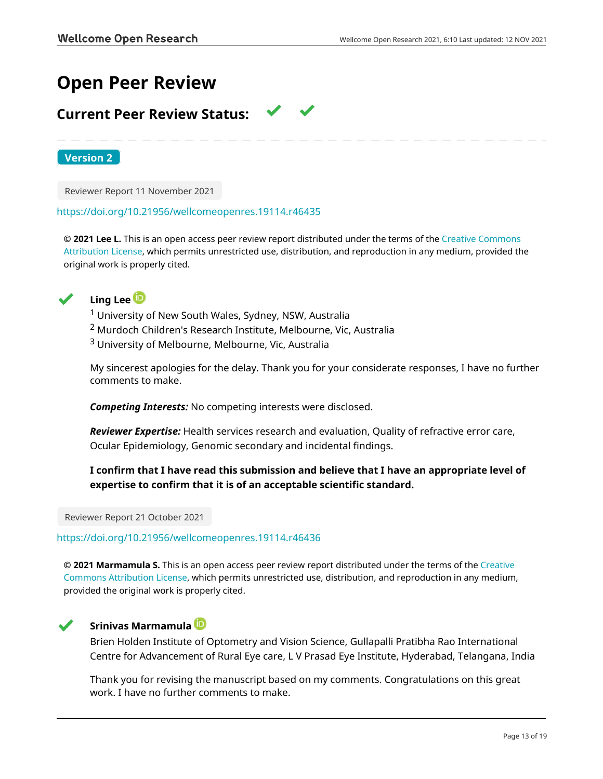# **Open Peer Review**

# **Current Peer Review Status:**

**Version 2**

Reviewer Report 11 November 2021

### <https://doi.org/10.21956/wellcomeopenres.19114.r46435>

**© 2021 Lee L.** This is an open access peer review report distributed under the terms of the [Creative Commons](https://creativecommons.org/licenses/by/4.0/) [Attribution License](https://creativecommons.org/licenses/by/4.0/), which permits unrestricted use, distribution, and reproduction in any medium, provided the original work is properly cited.



# **Ling Lee**

<sup>1</sup> University of New South Wales, Sydney, NSW, Australia

- <sup>2</sup> Murdoch Children's Research Institute, Melbourne, Vic, Australia
- <sup>3</sup> University of Melbourne, Melbourne, Vic, Australia

My sincerest apologies for the delay. Thank you for your considerate responses, I have no further comments to make.

*Competing Interests:* No competing interests were disclosed.

*Reviewer Expertise:* Health services research and evaluation, Quality of refractive error care, Ocular Epidemiology, Genomic secondary and incidental findings.

# **I confirm that I have read this submission and believe that I have an appropriate level of expertise to confirm that it is of an acceptable scientific standard.**

Reviewer Report 21 October 2021

<https://doi.org/10.21956/wellcomeopenres.19114.r46436>

**© 2021 Marmamula S.** This is an open access peer review report distributed under the terms of the [Creative](https://creativecommons.org/licenses/by/4.0/) [Commons Attribution License](https://creativecommons.org/licenses/by/4.0/), which permits unrestricted use, distribution, and reproduction in any medium, provided the original work is properly cited.



# **Srinivas Marmamula**

Brien Holden Institute of Optometry and Vision Science, Gullapalli Pratibha Rao International Centre for Advancement of Rural Eye care, L V Prasad Eye Institute, Hyderabad, Telangana, India

Thank you for revising the manuscript based on my comments. Congratulations on this great work. I have no further comments to make.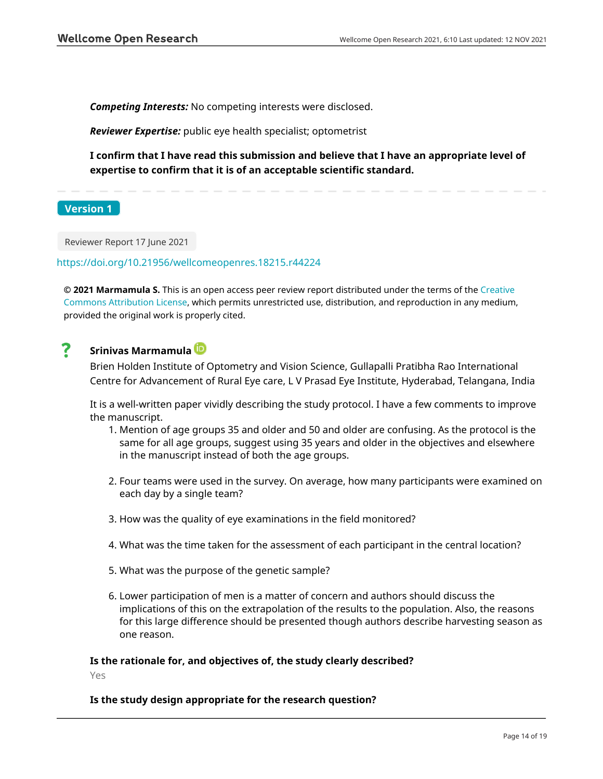*Competing Interests:* No competing interests were disclosed.

*Reviewer Expertise:* public eye health specialist; optometrist

**I confirm that I have read this submission and believe that I have an appropriate level of expertise to confirm that it is of an acceptable scientific standard.**

**Version 1**

Reviewer Report 17 June 2021

<https://doi.org/10.21956/wellcomeopenres.18215.r44224>

**© 2021 Marmamula S.** This is an open access peer review report distributed under the terms of the [Creative](https://creativecommons.org/licenses/by/4.0/) [Commons Attribution License](https://creativecommons.org/licenses/by/4.0/), which permits unrestricted use, distribution, and reproduction in any medium, provided the original work is properly cited.

# ?

**Srinivas Marmamula**

Brien Holden Institute of Optometry and Vision Science, Gullapalli Pratibha Rao International Centre for Advancement of Rural Eye care, L V Prasad Eye Institute, Hyderabad, Telangana, India

It is a well-written paper vividly describing the study protocol. I have a few comments to improve the manuscript.

- 1. Mention of age groups 35 and older and 50 and older are confusing. As the protocol is the same for all age groups, suggest using 35 years and older in the objectives and elsewhere in the manuscript instead of both the age groups.
- 2. Four teams were used in the survey. On average, how many participants were examined on each day by a single team?
- 3. How was the quality of eye examinations in the field monitored?
- 4. What was the time taken for the assessment of each participant in the central location?
- 5. What was the purpose of the genetic sample?
- 6. Lower participation of men is a matter of concern and authors should discuss the implications of this on the extrapolation of the results to the population. Also, the reasons for this large difference should be presented though authors describe harvesting season as one reason.

## **Is the rationale for, and objectives of, the study clearly described?**

Yes

### **Is the study design appropriate for the research question?**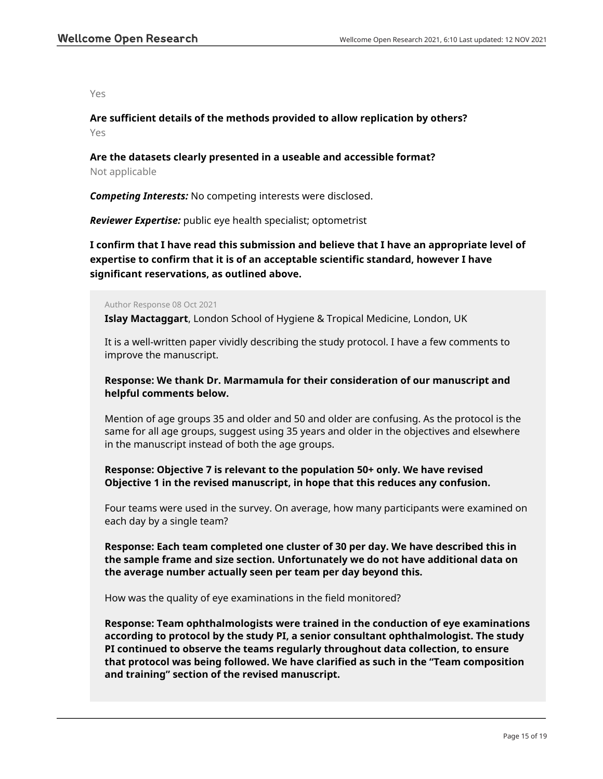Yes

**Are sufficient details of the methods provided to allow replication by others?** Yes

# **Are the datasets clearly presented in a useable and accessible format?**

Not applicable

*Competing Interests:* No competing interests were disclosed.

*Reviewer Expertise:* public eye health specialist; optometrist

**I confirm that I have read this submission and believe that I have an appropriate level of expertise to confirm that it is of an acceptable scientific standard, however I have significant reservations, as outlined above.**

Author Response 08 Oct 2021

**Islay Mactaggart**, London School of Hygiene & Tropical Medicine, London, UK

It is a well-written paper vividly describing the study protocol. I have a few comments to improve the manuscript.

## **Response: We thank Dr. Marmamula for their consideration of our manuscript and helpful comments below.**

Mention of age groups 35 and older and 50 and older are confusing. As the protocol is the same for all age groups, suggest using 35 years and older in the objectives and elsewhere in the manuscript instead of both the age groups.

## **Response: Objective 7 is relevant to the population 50+ only. We have revised Objective 1 in the revised manuscript, in hope that this reduces any confusion.**

Four teams were used in the survey. On average, how many participants were examined on each day by a single team?

**Response: Each team completed one cluster of 30 per day. We have described this in the sample frame and size section. Unfortunately we do not have additional data on the average number actually seen per team per day beyond this.**

How was the quality of eye examinations in the field monitored?

**Response: Team ophthalmologists were trained in the conduction of eye examinations according to protocol by the study PI, a senior consultant ophthalmologist. The study PI continued to observe the teams regularly throughout data collection, to ensure that protocol was being followed. We have clarified as such in the "Team composition and training" section of the revised manuscript.**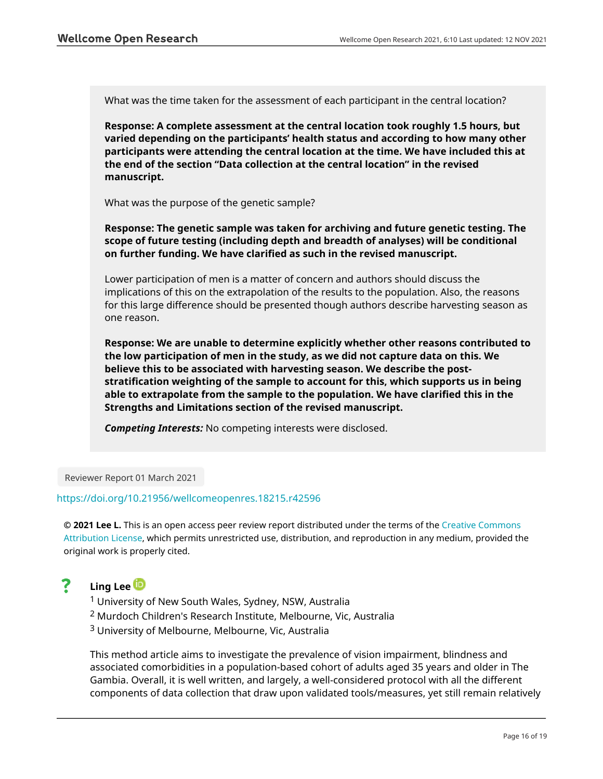What was the time taken for the assessment of each participant in the central location?

**Response: A complete assessment at the central location took roughly 1.5 hours, but varied depending on the participants' health status and according to how many other participants were attending the central location at the time. We have included this at the end of the section "Data collection at the central location" in the revised manuscript.**

What was the purpose of the genetic sample?

**Response: The genetic sample was taken for archiving and future genetic testing. The scope of future testing (including depth and breadth of analyses) will be conditional on further funding. We have clarified as such in the revised manuscript.**

Lower participation of men is a matter of concern and authors should discuss the implications of this on the extrapolation of the results to the population. Also, the reasons for this large difference should be presented though authors describe harvesting season as one reason.

**Response: We are unable to determine explicitly whether other reasons contributed to the low participation of men in the study, as we did not capture data on this. We believe this to be associated with harvesting season. We describe the poststratification weighting of the sample to account for this, which supports us in being able to extrapolate from the sample to the population. We have clarified this in the Strengths and Limitations section of the revised manuscript.**

*Competing Interests:* No competing interests were disclosed.

Reviewer Report 01 March 2021

## <https://doi.org/10.21956/wellcomeopenres.18215.r42596>

**© 2021 Lee L.** This is an open access peer review report distributed under the terms of the [Creative Commons](https://creativecommons.org/licenses/by/4.0/) [Attribution License](https://creativecommons.org/licenses/by/4.0/), which permits unrestricted use, distribution, and reproduction in any medium, provided the original work is properly cited.

#### ? **Ling Lee**

- <sup>1</sup> University of New South Wales, Sydney, NSW, Australia
- <sup>2</sup> Murdoch Children's Research Institute, Melbourne, Vic, Australia
- <sup>3</sup> University of Melbourne, Melbourne, Vic, Australia

This method article aims to investigate the prevalence of vision impairment, blindness and associated comorbidities in a population-based cohort of adults aged 35 years and older in The Gambia. Overall, it is well written, and largely, a well-considered protocol with all the different components of data collection that draw upon validated tools/measures, yet still remain relatively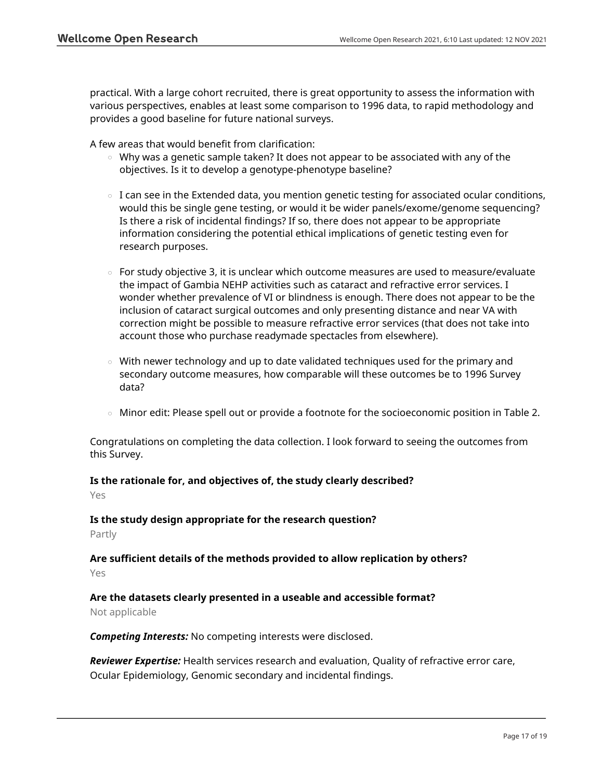practical. With a large cohort recruited, there is great opportunity to assess the information with various perspectives, enables at least some comparison to 1996 data, to rapid methodology and provides a good baseline for future national surveys.

A few areas that would benefit from clarification:

- $\,\circ\,$  Why was a genetic sample taken? It does not appear to be associated with any of the objectives. Is it to develop a genotype-phenotype baseline?
- $\,\circ\,$  I can see in the Extended data, you mention genetic testing for associated ocular conditions, would this be single gene testing, or would it be wider panels/exome/genome sequencing? Is there a risk of incidental findings? If so, there does not appear to be appropriate information considering the potential ethical implications of genetic testing even for research purposes.
- For study objective 3, it is unclear which outcome measures are used to measure/evaluate the impact of Gambia NEHP activities such as cataract and refractive error services. I wonder whether prevalence of VI or blindness is enough. There does not appear to be the inclusion of cataract surgical outcomes and only presenting distance and near VA with correction might be possible to measure refractive error services (that does not take into account those who purchase readymade spectacles from elsewhere).
- $\circ$   $\,$  With newer technology and up to date validated techniques used for the primary and secondary outcome measures, how comparable will these outcomes be to 1996 Survey data?
- $\circ$  Minor edit: Please spell out or provide a footnote for the socioeconomic position in Table 2.

Congratulations on completing the data collection. I look forward to seeing the outcomes from this Survey.

# **Is the rationale for, and objectives of, the study clearly described?**

Yes

### **Is the study design appropriate for the research question?**

Partly

# **Are sufficient details of the methods provided to allow replication by others?**

Yes

# **Are the datasets clearly presented in a useable and accessible format?**

Not applicable

*Competing Interests:* No competing interests were disclosed.

*Reviewer Expertise:* Health services research and evaluation, Quality of refractive error care, Ocular Epidemiology, Genomic secondary and incidental findings.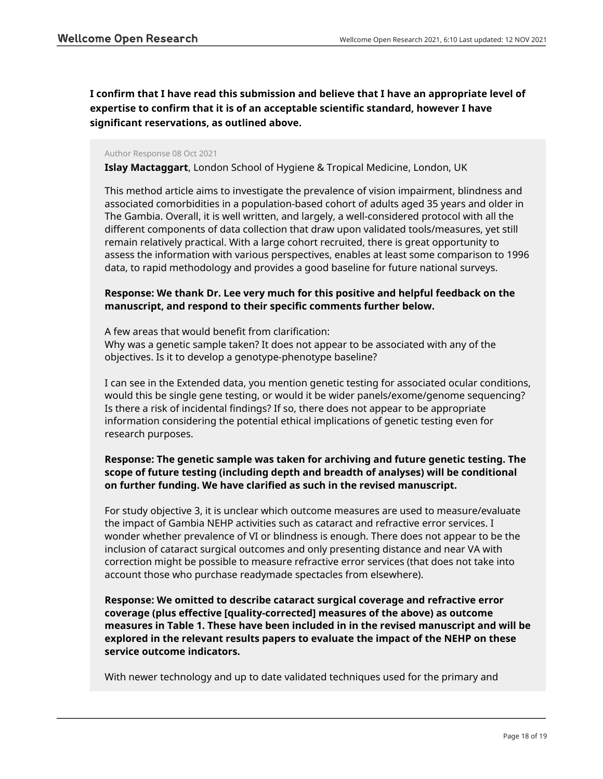**I confirm that I have read this submission and believe that I have an appropriate level of expertise to confirm that it is of an acceptable scientific standard, however I have significant reservations, as outlined above.**

#### Author Response 08 Oct 2021

**Islay Mactaggart**, London School of Hygiene & Tropical Medicine, London, UK

This method article aims to investigate the prevalence of vision impairment, blindness and associated comorbidities in a population-based cohort of adults aged 35 years and older in The Gambia. Overall, it is well written, and largely, a well-considered protocol with all the different components of data collection that draw upon validated tools/measures, yet still remain relatively practical. With a large cohort recruited, there is great opportunity to assess the information with various perspectives, enables at least some comparison to 1996 data, to rapid methodology and provides a good baseline for future national surveys.

# **Response: We thank Dr. Lee very much for this positive and helpful feedback on the manuscript, and respond to their specific comments further below.**

A few areas that would benefit from clarification: Why was a genetic sample taken? It does not appear to be associated with any of the objectives. Is it to develop a genotype-phenotype baseline?

I can see in the Extended data, you mention genetic testing for associated ocular conditions, would this be single gene testing, or would it be wider panels/exome/genome sequencing? Is there a risk of incidental findings? If so, there does not appear to be appropriate information considering the potential ethical implications of genetic testing even for research purposes.

## **Response: The genetic sample was taken for archiving and future genetic testing. The scope of future testing (including depth and breadth of analyses) will be conditional on further funding. We have clarified as such in the revised manuscript.**

For study objective 3, it is unclear which outcome measures are used to measure/evaluate the impact of Gambia NEHP activities such as cataract and refractive error services. I wonder whether prevalence of VI or blindness is enough. There does not appear to be the inclusion of cataract surgical outcomes and only presenting distance and near VA with correction might be possible to measure refractive error services (that does not take into account those who purchase readymade spectacles from elsewhere).

**Response: We omitted to describe cataract surgical coverage and refractive error coverage (plus effective [quality-corrected] measures of the above) as outcome measures in Table 1. These have been included in in the revised manuscript and will be explored in the relevant results papers to evaluate the impact of the NEHP on these service outcome indicators.**

With newer technology and up to date validated techniques used for the primary and